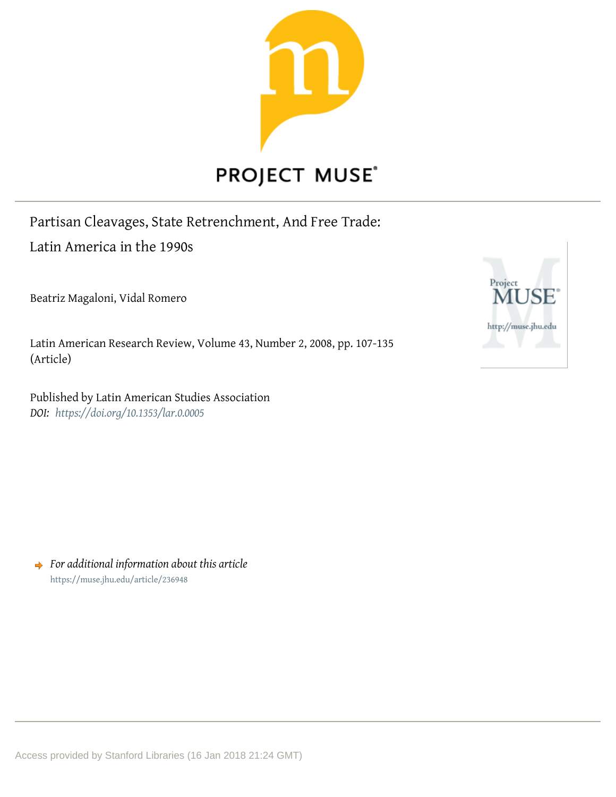

# **PROJECT MUSE®**

## Partisan Cleavages, State Retrenchment, And Free Trade: Latin America in the 1990s

Beatriz Magaloni, Vidal Romero

Latin American Research Review, Volume 43, Number 2, 2008, pp. 107-135 (Article)

Published by Latin American Studies Association *DOI: <https://doi.org/10.1353/lar.0.0005>*



*For additional information about this article* <https://muse.jhu.edu/article/236948>

Access provided by Stanford Libraries (16 Jan 2018 21:24 GMT)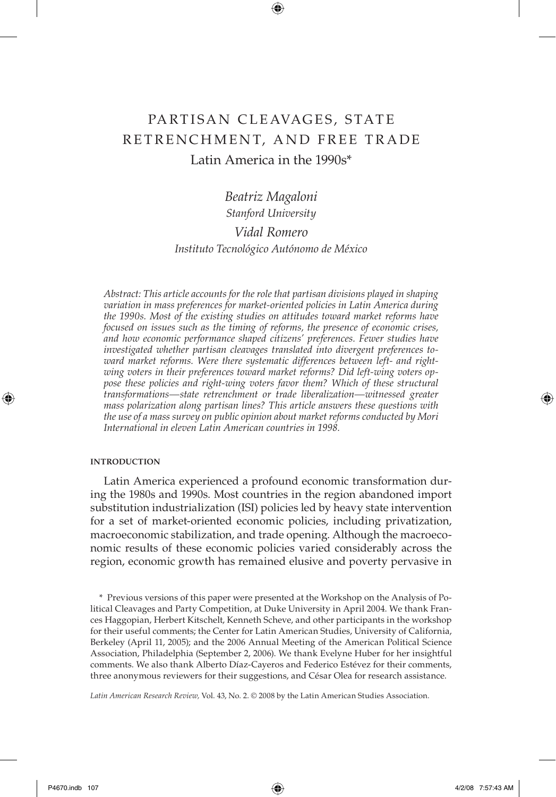### PARTISAN CLEAVAGES, STATE RETRENCHMENT, AND FREE TRADE Latin America in the 1990s\*

*Beatriz Magaloni Stanford University Vidal Romero Instituto Tecnológico Autónomo de México*

*Abstract: This article accounts for the role that partisan divisions played in shaping variation in mass preferences for market-oriented policies in Latin America during the 1990s. Most of the existing studies on attitudes toward market reforms have focused on issues such as the timing of reforms, the presence of economic crises, and how economic performance shaped citizens' preferences. Fewer studies have investigated whether partisan cleavages translated into divergent preferences toward market reforms. Were there systematic differences between left- and rightwing voters in their preferences toward market reforms? Did left-wing voters op*pose these policies and right-wing voters favor them? Which of these structural *transformations—state retrenchment or trade liberalization—witnessed greater mass polarization along partisan lines? This article answers these questions with the use of a mass survey on public opinion about market reforms conducted by Mori International in eleven Latin American countries in 1998.*

#### **INTRODUCTION**

Latin America experienced a profound economic transformation during the 1980s and 1990s. Most countries in the region abandoned import substitution industrialization (ISI) policies led by heavy state intervention for a set of market-oriented economic policies, including privatization, macroeconomic stabilization, and trade opening. Although the macroeconomic results of these economic policies varied considerably across the region, economic growth has remained elusive and poverty pervasive in

\* Previous versions of this paper were presented at the Workshop on the Analysis of Political Cleavages and Party Competition, at Duke University in April 2004. We thank Frances Haggopian, Herbert Kitschelt, Kenneth Scheve, and other participants in the workshop for their useful comments; the Center for Latin American Studies, University of California, Berkeley (April 11, 2005); and the 2006 Annual Meeting of the American Political Science Association, Philadelphia (September 2, 2006). We thank Evelyne Huber for her insightful comments. We also thank Alberto Díaz-Cayeros and Federico Estévez for their comments, three anonymous reviewers for their suggestions, and César Olea for research assistance.

*Latin American Research Review,* Vol. 43, No. 2. © 2008 by the Latin American Studies Association.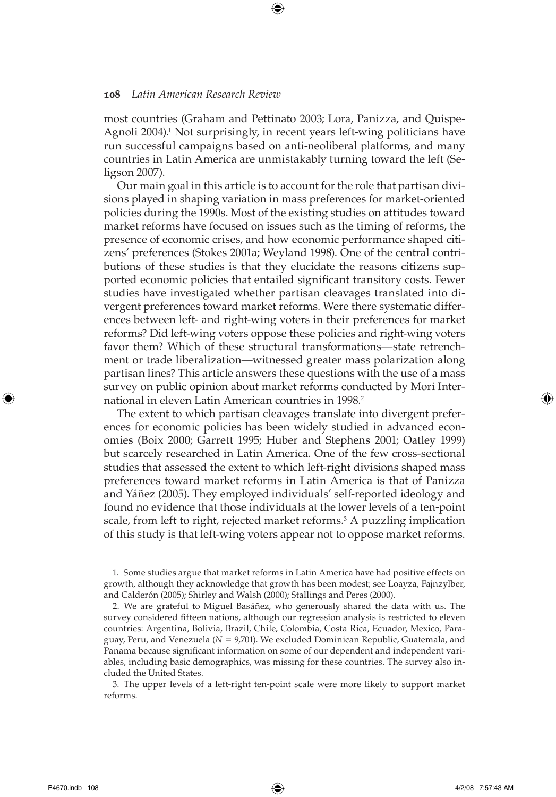most countries (Graham and Pettinato 2003; Lora, Panizza, and Quispe-Agnoli 2004).<sup>1</sup> Not surprisingly, in recent years left-wing politicians have run successful campaigns based on anti-neoliberal platforms, and many countries in Latin America are unmistakably turning toward the left (Seligson 2007).

Our main goal in this article is to account for the role that partisan divisions played in shaping variation in mass preferences for market-oriented policies during the 1990s. Most of the existing studies on attitudes toward market reforms have focused on issues such as the timing of reforms, the presence of economic crises, and how economic performance shaped citizens' preferences (Stokes 2001a; Weyland 1998). One of the central contributions of these studies is that they elucidate the reasons citizens supported economic policies that entailed significant transitory costs. Fewer studies have investigated whether partisan cleavages translated into divergent preferences toward market reforms. Were there systematic differences between left- and right-wing voters in their preferences for market reforms? Did left-wing voters oppose these policies and right-wing voters favor them? Which of these structural transformations—state retrenchment or trade liberalization—witnessed greater mass polarization along partisan lines? This article answers these questions with the use of a mass survey on public opinion about market reforms conducted by Mori International in eleven Latin American countries in 1998.<sup>2</sup>

The extent to which partisan cleavages translate into divergent preferences for economic policies has been widely studied in advanced economies (Boix 2000; Garrett 1995; Huber and Stephens 2001; Oatley 1999) but scarcely researched in Latin America. One of the few cross-sectional studies that assessed the extent to which left-right divisions shaped mass preferences toward market reforms in Latin America is that of Panizza and Yáñez (2005). They employed individuals' self-reported ideology and found no evidence that those individuals at the lower levels of a ten-point scale, from left to right, rejected market reforms.<sup>3</sup> A puzzling implication of this study is that left-wing voters appear not to oppose market reforms.

1. Some studies argue that market reforms in Latin America have had positive effects on growth, although they acknowledge that growth has been modest; see Loayza, Fajnzylber, and Calderón (2005); Shirley and Walsh (2000); Stallings and Peres (2000).

2. We are grateful to Miguel Basáñez, who generously shared the data with us. The survey considered fifteen nations, although our regression analysis is restricted to eleven countries: Argentina, Bolivia, Brazil, Chile, Colombia, Costa Rica, Ecuador, Mexico, Paraguay, Peru, and Venezuela (*N* = 9,701). We excluded Dominican Republic, Guatemala, and Panama because significant information on some of our dependent and independent variables, including basic demographics, was missing for these countries. The survey also included the United States.

3. The upper levels of a left-right ten-point scale were more likely to support market reforms.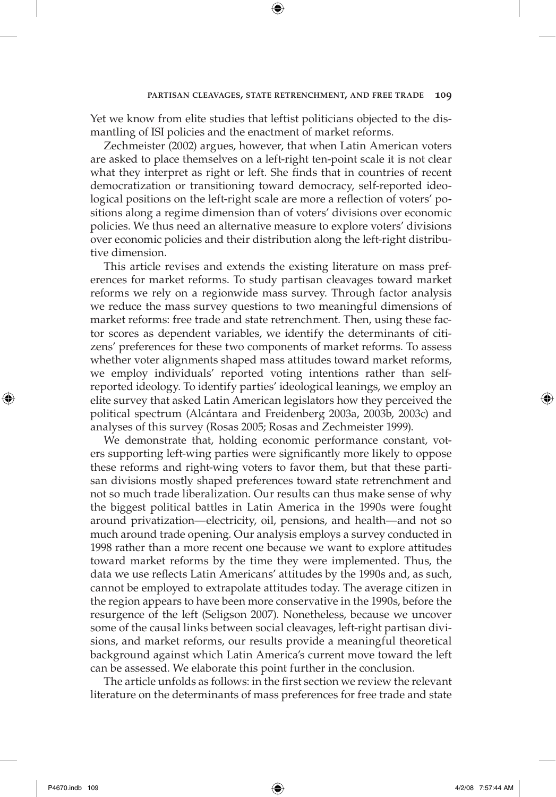Yet we know from elite studies that leftist politicians objected to the dismantling of ISI policies and the enactment of market reforms.

Zechmeister (2002) argues, however, that when Latin American voters are asked to place themselves on a left-right ten-point scale it is not clear what they interpret as right or left. She finds that in countries of recent democratization or transitioning toward democracy, self-reported ideological positions on the left-right scale are more a reflection of voters' positions along a regime dimension than of voters' divisions over economic policies. We thus need an alternative measure to explore voters' divisions over economic policies and their distribution along the left-right distributive dimension.

This article revises and extends the existing literature on mass preferences for market reforms. To study partisan cleavages toward market reforms we rely on a regionwide mass survey. Through factor analysis we reduce the mass survey questions to two meaningful dimensions of market reforms: free trade and state retrenchment. Then, using these factor scores as dependent variables, we identify the determinants of citizens' preferences for these two components of market reforms. To assess whether voter alignments shaped mass attitudes toward market reforms, we employ individuals' reported voting intentions rather than self reported ideology. To identify parties' ideological leanings, we employ an elite survey that asked Latin American legislators how they perceived the political spectrum (Alcántara and Freidenberg 2003a, 2003b, 2003c) and analyses of this survey (Rosas 2005; Rosas and Zechmeister 1999).

We demonstrate that, holding economic performance constant, voters supporting left-wing parties were significantly more likely to oppose these reforms and right-wing voters to favor them, but that these partisan divisions mostly shaped preferences toward state retrenchment and not so much trade liberalization. Our results can thus make sense of why the biggest political battles in Latin America in the 1990s were fought around privatization—electricity, oil, pensions, and health—and not so much around trade opening. Our analysis employs a survey conducted in 1998 rather than a more recent one because we want to explore attitudes toward market reforms by the time they were implemented. Thus, the data we use reflects Latin Americans' attitudes by the 1990s and, as such, cannot be employed to extrapolate attitudes today. The average citizen in the region appears to have been more conservative in the 1990s, before the resurgence of the left (Seligson 2007). Nonetheless, because we uncover some of the causal links between social cleavages, left-right partisan divisions, and market reforms, our results provide a meaningful theoretical background against which Latin America's current move toward the left can be assessed. We elaborate this point further in the conclusion.

The article unfolds as follows: in the first section we review the relevant literature on the determinants of mass preferences for free trade and state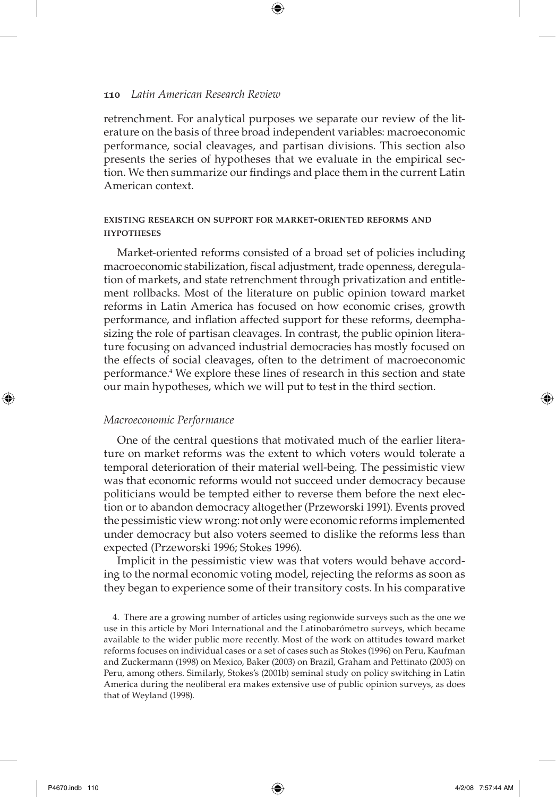retrenchment. For analytical purposes we separate our review of the literature on the basis of three broad independent variables: macroeconomic performance, social cleavages, and partisan divisions. This section also presents the series of hypotheses that we evaluate in the empirical section. We then summarize our findings and place them in the current Latin American context.

### **EXISTING RESEARCH ON SUPPORT FOR MARKET-ORIENTED REFORMS AND HYPOTHESES**

Market-oriented reforms consisted of a broad set of policies including macroeconomic stabilization, fiscal adjustment, trade openness, deregulation of markets, and state retrenchment through privatization and entitlement rollbacks. Most of the literature on public opinion toward market reforms in Latin America has focused on how economic crises, growth performance, and inflation affected support for these reforms, deemphasizing the role of partisan cleavages. In contrast, the public opinion literature focusing on advanced industrial democracies has mostly focused on the effects of social cleavages, often to the detriment of macroeconomic performance.4 We explore these lines of research in this section and state our main hypotheses, which we will put to test in the third section.

#### *Macroeconomic Performance*

One of the central questions that motivated much of the earlier literature on market reforms was the extent to which voters would tolerate a temporal deterioration of their material well-being. The pessimistic view was that economic reforms would not succeed under democracy because politicians would be tempted either to reverse them before the next election or to abandon democracy altogether (Przeworski 1991). Events proved the pessimistic view wrong: not only were economic reforms implemented under democracy but also voters seemed to dislike the reforms less than expected (Przeworski 1996; Stokes 1996).

Implicit in the pessimistic view was that voters would behave according to the normal economic voting model, rejecting the reforms as soon as they began to experience some of their transitory costs. In his comparative

4. There are a growing number of articles using regionwide surveys such as the one we use in this article by Mori International and the Latinobarómetro surveys, which became available to the wider public more recently. Most of the work on attitudes toward market reforms focuses on individual cases or a set of cases such as Stokes (1996) on Peru, Kaufman and Zuckermann (1998) on Mexico, Baker (2003) on Brazil, Graham and Pettinato (2003) on Peru, among others. Similarly, Stokes's (2001b) seminal study on policy switching in Latin America during the neoliberal era makes extensive use of public opinion surveys, as does that of Weyland (1998).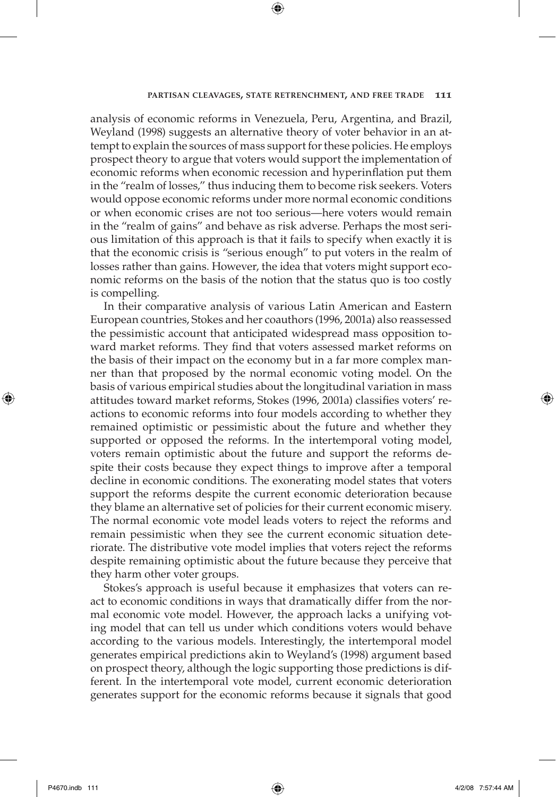analysis of economic reforms in Venezuela, Peru, Argentina, and Brazil, Weyland (1998) suggests an alternative theory of voter behavior in an attempt to explain the sources of mass support for these policies. He employs prospect theory to argue that voters would support the implementation of economic reforms when economic recession and hyperinflation put them in the "realm of losses," thus inducing them to become risk seekers. Voters would oppose economic reforms under more normal economic conditions or when economic crises are not too serious—here voters would remain in the "realm of gains" and behave as risk adverse. Perhaps the most serious limitation of this approach is that it fails to specify when exactly it is that the economic crisis is "serious enough" to put voters in the realm of losses rather than gains. However, the idea that voters might support economic reforms on the basis of the notion that the status quo is too costly is compelling.

In their comparative analysis of various Latin American and Eastern European countries, Stokes and her coauthors (1996, 2001a) also reassessed the pessimistic account that anticipated widespread mass opposition toward market reforms. They find that voters assessed market reforms on the basis of their impact on the economy but in a far more complex manner than that proposed by the normal economic voting model. On the basis of various empirical studies about the longitudinal variation in mass attitudes toward market reforms, Stokes (1996, 2001a) classifies voters' reactions to economic reforms into four models according to whether they remained optimistic or pessimistic about the future and whether they supported or opposed the reforms. In the intertemporal voting model, voters remain optimistic about the future and support the reforms despite their costs because they expect things to improve after a temporal decline in economic conditions. The exonerating model states that voters support the reforms despite the current economic deterioration because they blame an alternative set of policies for their current economic misery. The normal economic vote model leads voters to reject the reforms and remain pessimistic when they see the current economic situation deteriorate. The distributive vote model implies that voters reject the reforms despite remaining optimistic about the future because they perceive that they harm other voter groups.

Stokes's approach is useful because it emphasizes that voters can react to economic conditions in ways that dramatically differ from the normal economic vote model. However, the approach lacks a unifying voting model that can tell us under which conditions voters would behave according to the various models. Interestingly, the intertemporal model generates empirical predictions akin to Weyland's (1998) argument based on prospect theory, although the logic supporting those predictions is different. In the intertemporal vote model, current economic deterioration generates support for the economic reforms because it signals that good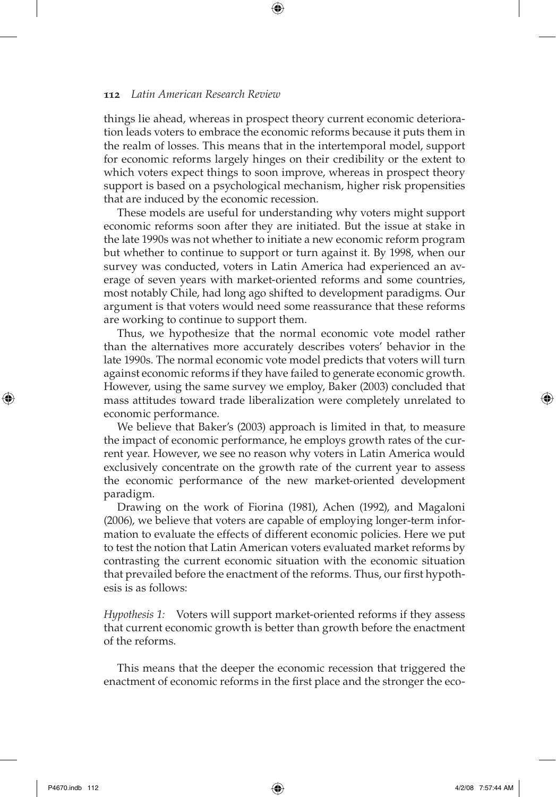things lie ahead, whereas in prospect theory current economic deterioration leads voters to embrace the economic reforms because it puts them in the realm of losses. This means that in the intertemporal model, support for economic reforms largely hinges on their credibility or the extent to which voters expect things to soon improve, whereas in prospect theory support is based on a psychological mechanism, higher risk propensities that are induced by the economic recession.

These models are useful for understanding why voters might support economic reforms soon after they are initiated. But the issue at stake in the late 1990s was not whether to initiate a new economic reform program but whether to continue to support or turn against it. By 1998, when our survey was conducted, voters in Latin America had experienced an average of seven years with market-oriented reforms and some countries, most notably Chile, had long ago shifted to development paradigms. Our argument is that voters would need some reassurance that these reforms are working to continue to support them.

Thus, we hypothesize that the normal economic vote model rather than the alternatives more accurately describes voters' behavior in the late 1990s. The normal economic vote model predicts that voters will turn against economic reforms if they have failed to generate economic growth. However, using the same survey we employ, Baker (2003) concluded that mass attitudes toward trade liberalization were completely unrelated to economic performance.

We believe that Baker's (2003) approach is limited in that, to measure the impact of economic performance, he employs growth rates of the current year. However, we see no reason why voters in Latin America would exclusively concentrate on the growth rate of the current year to assess the economic performance of the new market-oriented development paradigm.

Drawing on the work of Fiorina (1981), Achen (1992), and Magaloni (2006), we believe that voters are capable of employing longer-term information to evaluate the effects of different economic policies. Here we put to test the notion that Latin American voters evaluated market reforms by contrasting the current economic situation with the economic situation that prevailed before the enactment of the reforms. Thus, our first hypothesis is as follows:

*Hypothesis 1:* Voters will support market-oriented reforms if they assess that current economic growth is better than growth before the enactment of the reforms.

This means that the deeper the economic recession that triggered the enactment of economic reforms in the first place and the stronger the eco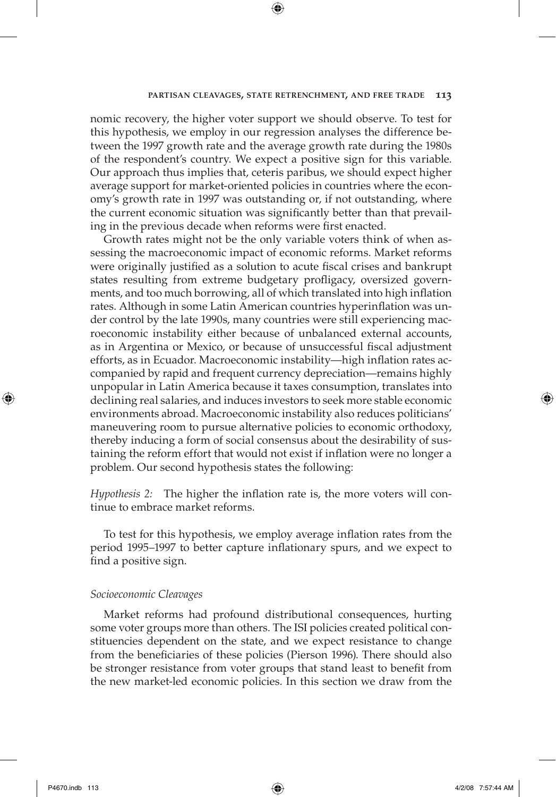nomic recovery, the higher voter support we should observe. To test for this hypothesis, we employ in our regression analyses the difference between the 1997 growth rate and the average growth rate during the 1980s of the respondent's country. We expect a positive sign for this variable. Our approach thus implies that, ceteris paribus, we should expect higher average support for market-oriented policies in countries where the economy's growth rate in 1997 was outstanding or, if not outstanding, where the current economic situation was significantly better than that prevailing in the previous decade when reforms were first enacted.

Growth rates might not be the only variable voters think of when assessing the macroeconomic impact of economic reforms. Market reforms were originally justified as a solution to acute fiscal crises and bankrupt states resulting from extreme budgetary profligacy, oversized governments, and too much borrowing, all of which translated into high inflation rates. Although in some Latin American countries hyperinflation was under control by the late 1990s, many countries were still experiencing macroeconomic instability either because of unbalanced external accounts, as in Argentina or Mexico, or because of unsuccessful fiscal adjustment efforts, as in Ecuador. Macroeconomic instability—high inflation rates accompanied by rapid and frequent currency depreciation—remains highly unpopular in Latin America because it taxes consumption, translates into declining real salaries, and induces investors to seek more stable economic environments abroad. Macroeconomic instability also reduces politicians' maneuvering room to pursue alternative policies to economic orthodoxy, thereby inducing a form of social consensus about the desirability of sustaining the reform effort that would not exist if inflation were no longer a problem. Our second hypothesis states the following:

*Hypothesis 2:* The higher the inflation rate is, the more voters will continue to embrace market reforms.

To test for this hypothesis, we employ average inflation rates from the period 1995–1997 to better capture inflationary spurs, and we expect to find a positive sign.

#### *Socioeconomic Cleavages*

Market reforms had profound distributional consequences, hurting some voter groups more than others. The ISI policies created political constituencies dependent on the state, and we expect resistance to change from the beneficiaries of these policies (Pierson 1996). There should also be stronger resistance from voter groups that stand least to benefit from the new market-led economic policies. In this section we draw from the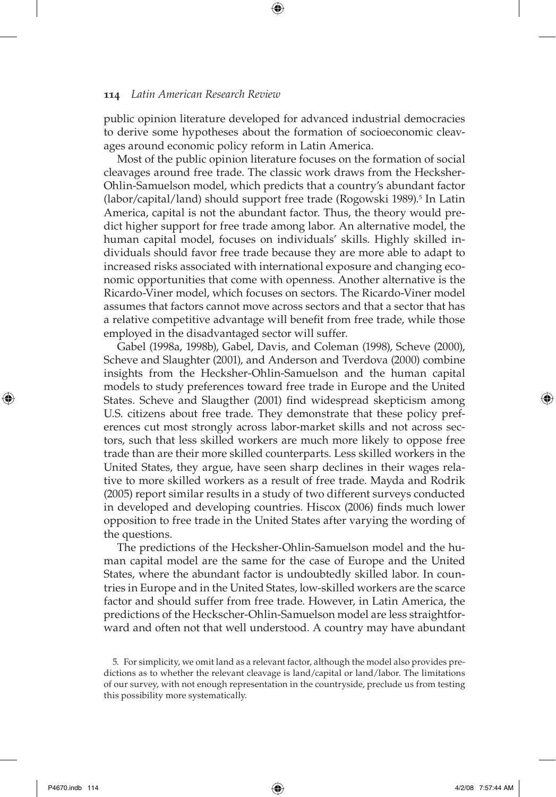public opinion literature developed for advanced industrial democracies to derive some hypotheses about the formation of socioeconomic cleavages around economic policy reform in Latin America.

Most of the public opinion literature focuses on the formation of social cleavages around free trade. The classic work draws from the Hecksher-Ohlin-Samuelson model, which predicts that a country's abundant factor (labor/capital/land) should support free trade (Rogowski 1989).<sup>5</sup> In Latin America, capital is not the abundant factor. Thus, the theory would predict higher support for free trade among labor. An alternative model, the human capital model, focuses on individuals' skills. Highly skilled individuals should favor free trade because they are more able to adapt to increased risks associated with international exposure and changing economic opportunities that come with openness. Another alternative is the Ricardo-Viner model, which focuses on sectors. The Ricardo-Viner model assumes that factors cannot move across sectors and that a sector that has a relative competitive advantage will benefit from free trade, while those employed in the disadvantaged sector will suffer.

Gabel (1998a, 1998b), Gabel, Davis, and Coleman (1998), Scheve (2000), Scheve and Slaughter (2001), and Anderson and Tverdova (2000) combine insights from the Hecksher-Ohlin-Samuelson and the human capital models to study preferences toward free trade in Europe and the United States. Scheve and Slaugther (2001) find widespread skepticism among U.S. citizens about free trade. They demonstrate that these policy preferences cut most strongly across labor-market skills and not across sectors, such that less skilled workers are much more likely to oppose free trade than are their more skilled counterparts. Less skilled workers in the United States, they argue, have seen sharp declines in their wages relative to more skilled workers as a result of free trade. Mayda and Rodrik (2005) report similar results in a study of two different surveys conducted in developed and developing countries. Hiscox (2006) finds much lower opposition to free trade in the United States after varying the wording of the questions.

The predictions of the Hecksher-Ohlin-Samuelson model and the human capital model are the same for the case of Europe and the United States, where the abundant factor is undoubtedly skilled labor. In countries in Europe and in the United States, low-skilled workers are the scarce factor and should suffer from free trade. However, in Latin America, the predictions of the Heckscher-Ohlin-Samuelson model are less straightforward and often not that well understood. A country may have abundant

5. For simplicity, we omit land as a relevant factor, although the model also provides predictions as to whether the relevant cleavage is land/capital or land/labor. The limitations of our survey, with not enough representation in the countryside, preclude us from testing this possibility more systematically.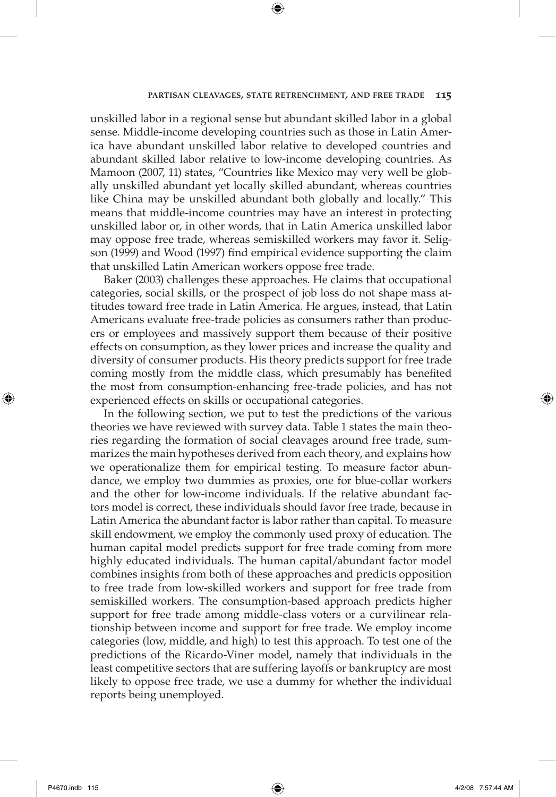unskilled labor in a regional sense but abundant skilled labor in a global sense. Middle-income developing countries such as those in Latin America have abundant unskilled labor relative to developed countries and abundant skilled labor relative to low-income developing countries. As Mamoon (2007, 11) states, "Countries like Mexico may very well be globally unskilled abundant yet locally skilled abundant, whereas countries like China may be unskilled abundant both globally and locally." This means that middle-income countries may have an interest in protecting unskilled labor or, in other words, that in Latin America unskilled labor may oppose free trade, whereas semiskilled workers may favor it. Seligson (1999) and Wood (1997) find empirical evidence supporting the claim that unskilled Latin American workers oppose free trade.

Baker (2003) challenges these approaches. He claims that occupational categories, social skills, or the prospect of job loss do not shape mass attitudes toward free trade in Latin America. He argues, instead, that Latin Americans evaluate free-trade policies as consumers rather than producers or employees and massively support them because of their positive effects on consumption, as they lower prices and increase the quality and diversity of consumer products. His theory predicts support for free trade coming mostly from the middle class, which presumably has benefited the most from consumption-enhancing free-trade policies, and has not experienced effects on skills or occupational categories.

In the following section, we put to test the predictions of the various theories we have reviewed with survey data. Table 1 states the main theories regarding the formation of social cleavages around free trade, summarizes the main hypotheses derived from each theory, and explains how we operationalize them for empirical testing. To measure factor abundance, we employ two dummies as proxies, one for blue-collar workers and the other for low-income individuals. If the relative abundant factors model is correct, these individuals should favor free trade, because in Latin America the abundant factor is labor rather than capital. To measure skill endowment, we employ the commonly used proxy of education. The human capital model predicts support for free trade coming from more highly educated individuals. The human capital/abundant factor model combines insights from both of these approaches and predicts opposition to free trade from low-skilled workers and support for free trade from semiskilled workers. The consumption-based approach predicts higher support for free trade among middle-class voters or a curvilinear relationship between income and support for free trade. We employ income categories (low, middle, and high) to test this approach. To test one of the predictions of the Ricardo-Viner model, namely that individuals in the least competitive sectors that are suffering layoffs or bankruptcy are most likely to oppose free trade, we use a dummy for whether the individual reports being unemployed.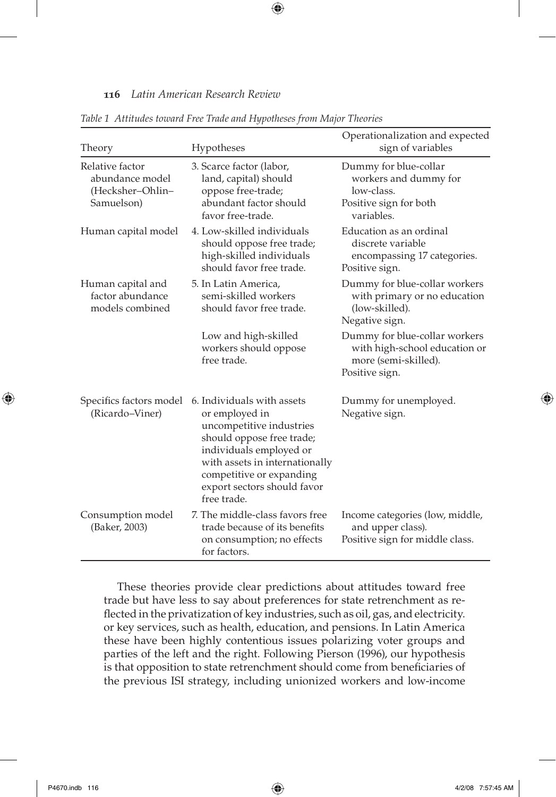| Theory                                                               | Hypotheses                                                                                                                                                                                                                                   | Operationalization and expected<br>sign of variables                                                                                                                                        |
|----------------------------------------------------------------------|----------------------------------------------------------------------------------------------------------------------------------------------------------------------------------------------------------------------------------------------|---------------------------------------------------------------------------------------------------------------------------------------------------------------------------------------------|
| Relative factor<br>abundance model<br>(Hecksher-Ohlin-<br>Samuelson) | 3. Scarce factor (labor,<br>land, capital) should<br>oppose free-trade;<br>abundant factor should<br>favor free-trade.                                                                                                                       | Dummy for blue-collar<br>workers and dummy for<br>low-class.<br>Positive sign for both<br>variables.                                                                                        |
| Human capital model                                                  | 4. Low-skilled individuals<br>should oppose free trade;<br>high-skilled individuals<br>should favor free trade.                                                                                                                              | Education as an ordinal<br>discrete variable<br>encompassing 17 categories.<br>Positive sign.                                                                                               |
| Human capital and<br>factor abundance<br>models combined             | 5. In Latin America,<br>semi-skilled workers<br>should favor free trade.<br>Low and high-skilled<br>workers should oppose<br>free trade.                                                                                                     | Dummy for blue-collar workers<br>with primary or no education<br>(low-skilled).<br>Negative sign.<br>Dummy for blue-collar workers<br>with high-school education or<br>more (semi-skilled). |
| Specifics factors model<br>(Ricardo-Viner)                           | 6. Individuals with assets<br>or employed in<br>uncompetitive industries<br>should oppose free trade;<br>individuals employed or<br>with assets in internationally<br>competitive or expanding<br>export sectors should favor<br>free trade. | Positive sign.<br>Dummy for unemployed.<br>Negative sign.                                                                                                                                   |
| Consumption model<br>(Baker, 2003)                                   | 7. The middle-class favors free<br>trade because of its benefits<br>on consumption; no effects<br>for factors.                                                                                                                               | Income categories (low, middle,<br>and upper class).<br>Positive sign for middle class.                                                                                                     |

*Table 1 Attitudes toward Free Trade and Hypotheses from Major Theories*

These theories provide clear predictions about attitudes toward free trade but have less to say about preferences for state retrenchment as reflected in the privatization of key industries, such as oil, gas, and electricity. or key services, such as health, education, and pensions. In Latin America these have been highly contentious issues polarizing voter groups and parties of the left and the right. Following Pierson (1996), our hypothesis is that opposition to state retrenchment should come from beneficiaries of the previous ISI strategy, including unionized workers and low-income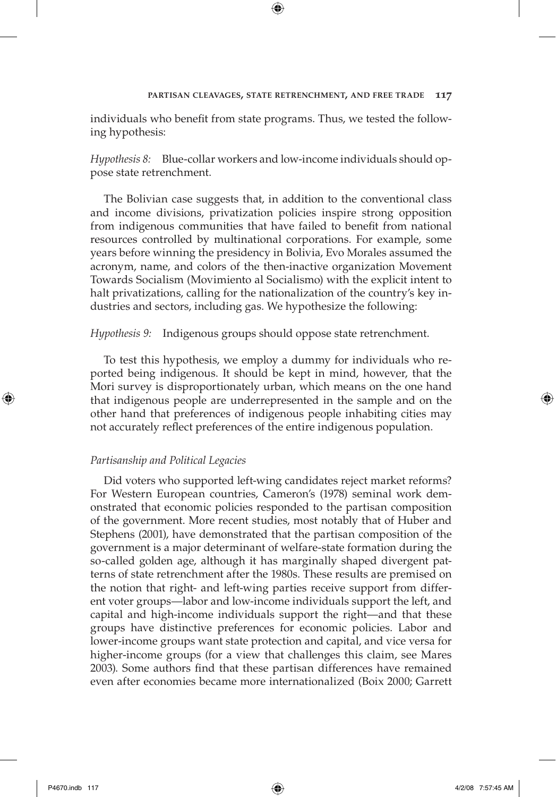individuals who benefit from state programs. Thus, we tested the following hypothesis:

*Hypothesis 8:* Blue-collar workers and low-income individuals should oppose state retrenchment.

The Bolivian case suggests that, in addition to the conventional class and income divisions, privatization policies inspire strong opposition from indigenous communities that have failed to benefit from national resources controlled by multinational corporations. For example, some years before winning the presidency in Bolivia, Evo Morales assumed the acronym, name, and colors of the then-inactive organization Movement Towards Socialism (Movimiento al Socialismo) with the explicit intent to halt privatizations, calling for the nationalization of the country's key industries and sectors, including gas. We hypothesize the following:

### *Hypothesis 9:* Indigenous groups should oppose state retrenchment.

To test this hypothesis, we employ a dummy for individuals who reported being indigenous. It should be kept in mind, however, that the Mori survey is disproportionately urban, which means on the one hand that indigenous people are underrepresented in the sample and on the other hand that preferences of indigenous people inhabiting cities may not accurately reflect preferences of the entire indigenous population.

#### *Partisanship and Political Legacies*

Did voters who supported left-wing candidates reject market reforms? For Western European countries, Cameron's (1978) seminal work demonstrated that economic policies responded to the partisan composition of the government. More recent studies, most notably that of Huber and Stephens (2001), have demonstrated that the partisan composition of the government is a major determinant of welfare-state formation during the so-called golden age, although it has marginally shaped divergent patterns of state retrenchment after the 1980s. These results are premised on the notion that right- and left-wing parties receive support from different voter groups—labor and low-income individuals support the left, and capital and high-income individuals support the right—and that these groups have distinctive preferences for economic policies. Labor and lower-income groups want state protection and capital, and vice versa for higher-income groups (for a view that challenges this claim, see Mares 2003). Some authors find that these partisan differences have remained even after economies became more internationalized (Boix 2000; Garrett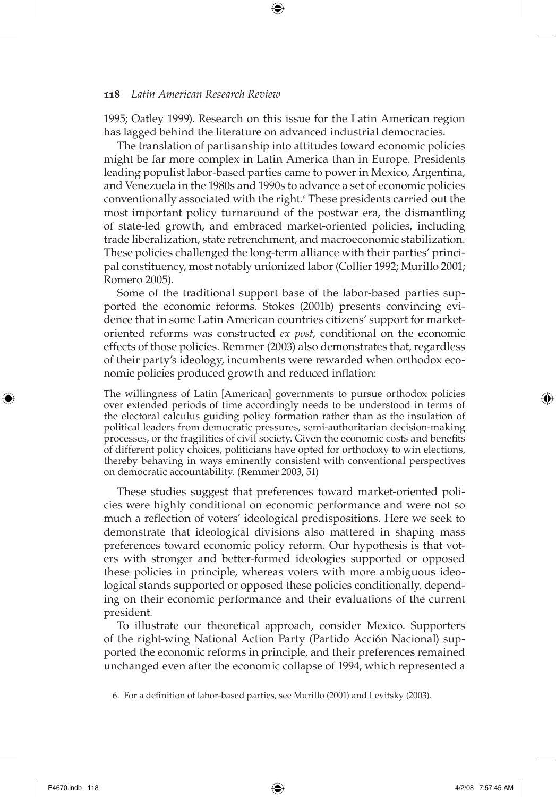1995; Oatley 1999). Research on this issue for the Latin American region has lagged behind the literature on advanced industrial democracies.

The translation of partisanship into attitudes toward economic policies might be far more complex in Latin America than in Europe. Presidents leading populist labor-based parties came to power in Mexico, Argentina, and Venezuela in the 1980s and 1990s to advance a set of economic policies conventionally associated with the right.<sup>6</sup> These presidents carried out the most important policy turnaround of the postwar era, the dismantling of state-led growth, and embraced market-oriented policies, including trade liberalization, state retrenchment, and macroeconomic stabilization. These policies challenged the long-term alliance with their parties' principal constituency, most notably unionized labor (Collier 1992; Murillo 2001; Romero 2005).

Some of the traditional support base of the labor-based parties supported the economic reforms. Stokes (2001b) presents convincing evidence that in some Latin American countries citizens' support for market oriented reforms was constructed *ex post*, conditional on the economic effects of those policies. Remmer (2003) also demonstrates that, regardless of their party's ideology, incumbents were rewarded when orthodox economic policies produced growth and reduced inflation:

The willingness of Latin [American] governments to pursue orthodox policies over extended periods of time accordingly needs to be understood in terms of the electoral calculus guiding policy formation rather than as the insulation of political leaders from democratic pressures, semi-authoritarian decision-making processes, or the fragilities of civil society. Given the economic costs and benefits of different policy choices, politicians have opted for orthodoxy to win elections, thereby behaving in ways eminently consistent with conventional perspectives on democratic accountability. (Remmer 2003, 51)

These studies suggest that preferences toward market-oriented policies were highly conditional on economic performance and were not so much a reflection of voters' ideological predispositions. Here we seek to demonstrate that ideological divisions also mattered in shaping mass preferences toward economic policy reform. Our hypothesis is that voters with stronger and better-formed ideologies supported or opposed these policies in principle, whereas voters with more ambiguous ideological stands supported or opposed these policies conditionally, depending on their economic performance and their evaluations of the current president.

To illustrate our theoretical approach, consider Mexico. Supporters of the right-wing National Action Party (Partido Acción Nacional) supported the economic reforms in principle, and their preferences remained unchanged even after the economic collapse of 1994, which represented a

<sup>6.</sup> For a definition of labor-based parties, see Murillo (2001) and Levitsky (2003).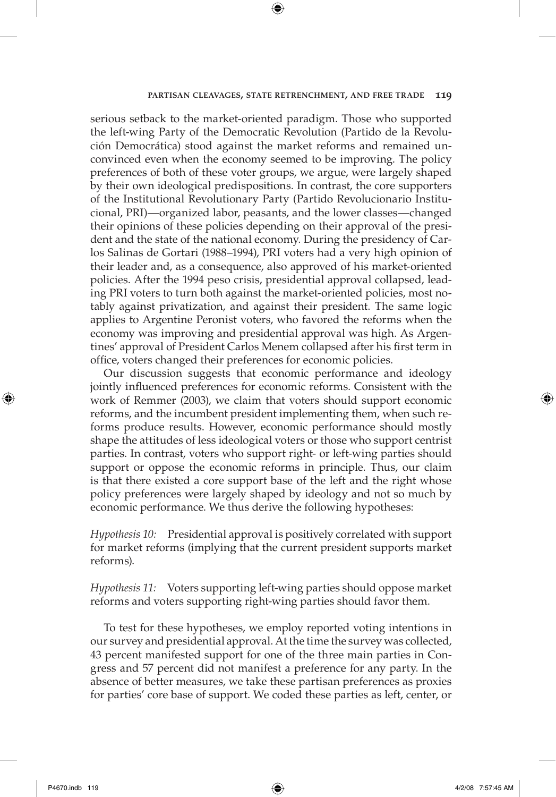serious setback to the market-oriented paradigm. Those who supported the left-wing Party of the Democratic Revolution (Partido de la Revolución Democrática) stood against the market reforms and remained unconvinced even when the economy seemed to be improving. The policy preferences of both of these voter groups, we argue, were largely shaped by their own ideological predispositions. In contrast, the core supporters of the Institutional Revolutionary Party (Partido Revolucionario Institucional, PRI)—organized labor, peasants, and the lower classes—changed their opinions of these policies depending on their approval of the president and the state of the national economy. During the presidency of Carlos Salinas de Gortari (1988–1994), PRI voters had a very high opinion of their leader and, as a consequence, also approved of his market-oriented policies. After the 1994 peso crisis, presidential approval collapsed, leading PRI voters to turn both against the market-oriented policies, most notably against privatization, and against their president. The same logic applies to Argentine Peronist voters, who favored the reforms when the economy was improving and presidential approval was high. As Argentines' approval of President Carlos Menem collapsed after his first term in office, voters changed their preferences for economic policies.

Our discussion suggests that economic performance and ideology jointly influenced preferences for economic reforms. Consistent with the work of Remmer (2003), we claim that voters should support economic reforms, and the incumbent president implementing them, when such reforms produce results. However, economic performance should mostly shape the attitudes of less ideological voters or those who support centrist parties. In contrast, voters who support right- or left-wing parties should support or oppose the economic reforms in principle. Thus, our claim is that there existed a core support base of the left and the right whose policy preferences were largely shaped by ideology and not so much by economic performance. We thus derive the following hypotheses:

*Hypothesis 10:* Presidential approval is positively correlated with support for market reforms (implying that the current president supports market reforms).

*Hypothesis 11:* Voters supporting left-wing parties should oppose market reforms and voters supporting right-wing parties should favor them.

To test for these hypotheses, we employ reported voting intentions in our survey and presidential approval. At the time the survey was collected, 43 percent manifested support for one of the three main parties in Congress and 57 percent did not manifest a preference for any party. In the absence of better measures, we take these partisan preferences as proxies for parties' core base of support. We coded these parties as left, center, or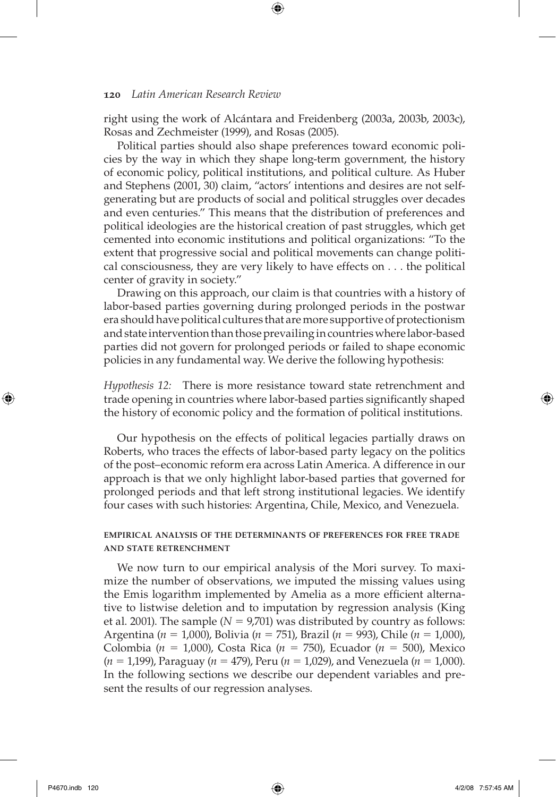right using the work of Alcántara and Freidenberg (2003a, 2003b, 2003c), Rosas and Zechmeister (1999), and Rosas (2005).

Political parties should also shape preferences toward economic policies by the way in which they shape long-term government, the history of economic policy, political institutions, and political culture. As Huber and Stephens (2001, 30) claim, "actors' intentions and desires are not selfgenerating but are products of social and political struggles over decades and even centuries." This means that the distribution of preferences and political ideologies are the historical creation of past struggles, which get cemented into economic institutions and political organizations: "To the extent that progressive social and political movements can change political consciousness, they are very likely to have effects on . . . the political center of gravity in society."

Drawing on this approach, our claim is that countries with a history of labor-based parties governing during prolonged periods in the postwar era should have political cultures that are more supportive of protectionism and state intervention than those prevailing in countries where labor-based parties did not govern for prolonged periods or failed to shape economic policies in any fundamental way. We derive the following hypothesis:

*Hypothesis 12:* There is more resistance toward state retrenchment and trade opening in countries where labor-based parties significantly shaped the history of economic policy and the formation of political institutions.

Our hypothesis on the effects of political legacies partially draws on Roberts, who traces the effects of labor-based party legacy on the politics of the post–economic reform era across Latin America. A difference in our approach is that we only highlight labor-based parties that governed for prolonged periods and that left strong institutional legacies. We identify four cases with such histories: Argentina, Chile, Mexico, and Venezuela.

### **EMPIRICAL ANALYSIS OF THE DETERMINANTS OF PREFERENCES FOR FREE TRADE AND STATE RETRENCHMENT**

We now turn to our empirical analysis of the Mori survey. To maximize the number of observations, we imputed the missing values using the Emis logarithm implemented by Amelia as a more efficient alternative to listwise deletion and to imputation by regression analysis (King et al. 2001). The sample  $(N = 9,701)$  was distributed by country as follows: Argentina (*n* = 1,000), Bolivia (*n* = 751), Brazil (*n* = 993), Chile (*n* = 1,000), Colombia (*n* = 1,000), Costa Rica (*n* = 750), Ecuador (*n* = 500), Mexico (*n* = 1,199), Paraguay (*n* = 479), Peru (*n* = 1,029), and Venezuela (*n* = 1,000). In the following sections we describe our dependent variables and present the results of our regression analyses.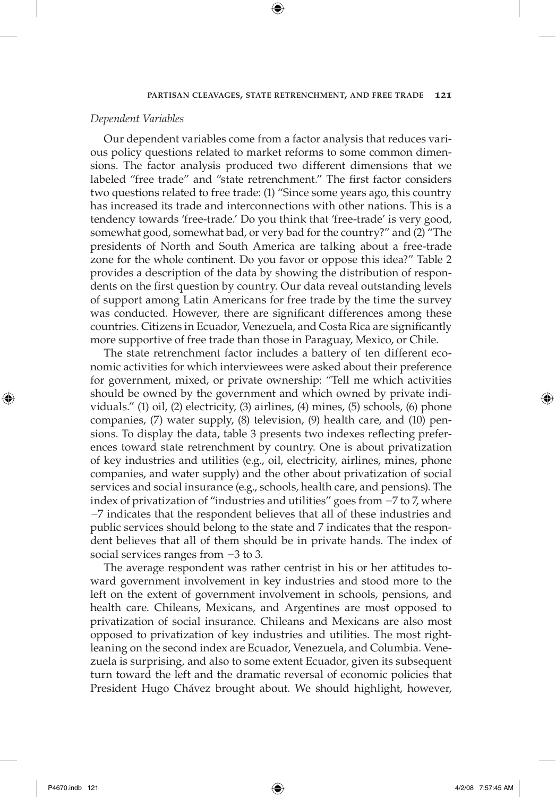#### *Dependent Variables*

Our dependent variables come from a factor analysis that reduces various policy questions related to market reforms to some common dimensions. The factor analysis produced two different dimensions that we labeled "free trade" and "state retrenchment." The first factor considers two questions related to free trade: (1) "Since some years ago, this country has increased its trade and interconnections with other nations. This is a tendency towards 'free-trade.' Do you think that 'free-trade' is very good, somewhat good, somewhat bad, or very bad for the country?" and (2) "The presidents of North and South America are talking about a free-trade zone for the whole continent. Do you favor or oppose this idea?" Table 2 provides a description of the data by showing the distribution of respondents on the first question by country. Our data reveal outstanding levels of support among Latin Americans for free trade by the time the survey was conducted. However, there are significant differences among these countries. Citizens in Ecuador, Venezuela, and Costa Rica are significantly more supportive of free trade than those in Paraguay, Mexico, or Chile.

The state retrenchment factor includes a battery of ten different economic activities for which interviewees were asked about their preference for government, mixed, or private ownership: "Tell me which activities should be owned by the government and which owned by private individuals." (1) oil, (2) electricity, (3) airlines, (4) mines, (5) schools, (6) phone companies, (7) water supply, (8) television, (9) health care, and (10) pensions. To display the data, table 3 presents two indexes reflecting preferences toward state retrenchment by country. One is about privatization of key industries and utilities (e.g., oil, electricity, airlines, mines, phone companies, and water supply) and the other about privatization of social services and social insurance (e.g., schools, health care, and pensions). The index of privatization of "industries and utilities" goes from −7 to 7, where −7 indicates that the respondent believes that all of these industries and public services should belong to the state and 7 indicates that the respondent believes that all of them should be in private hands. The index of social services ranges from −3 to 3.

The average respondent was rather centrist in his or her attitudes toward government involvement in key industries and stood more to the left on the extent of government involvement in schools, pensions, and health care. Chileans, Mexicans, and Argentines are most opposed to privatization of social insurance. Chileans and Mexicans are also most opposed to privatization of key industries and utilities. The most rightleaning on the second index are Ecuador, Venezuela, and Columbia. Venezuela is surprising, and also to some extent Ecuador, given its subsequent turn toward the left and the dramatic reversal of economic policies that President Hugo Chávez brought about. We should highlight, however,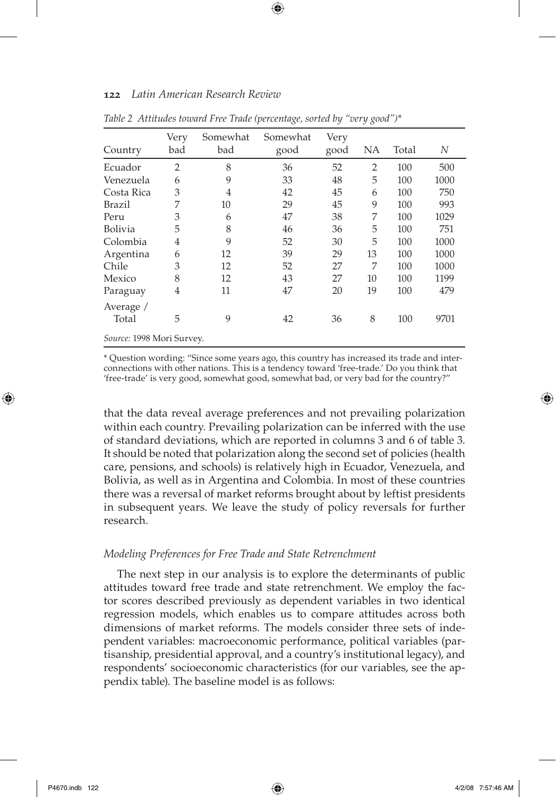#### **122** *Latin American Research Review*

| Country                   | Very<br>bad    | Somewhat<br>bad | Somewhat<br>good | Very<br>good | NA | Total | N    |
|---------------------------|----------------|-----------------|------------------|--------------|----|-------|------|
| Ecuador                   | $\overline{2}$ | 8               | 36               | 52           | 2  | 100   | 500  |
| Venezuela                 | 6              | 9               | 33               | 48           | 5  | 100   | 1000 |
| Costa Rica                | 3              | 4               | 42               | 45           | 6  | 100   | 750  |
| Brazil                    | 7              | 10              | 29               | 45           | 9  | 100   | 993  |
| Peru                      | 3              | 6               | 47               | 38           | 7  | 100   | 1029 |
| Bolivia                   | 5              | 8               | 46               | 36           | 5  | 100   | 751  |
| Colombia                  | 4              | 9               | 52               | 30           | 5  | 100   | 1000 |
| Argentina                 | 6              | 12              | 39               | 29           | 13 | 100   | 1000 |
| Chile                     | 3              | 12              | 52               | 27           | 7  | 100   | 1000 |
| Mexico                    | 8              | 12              | 43               | 27           | 10 | 100   | 1199 |
| Paraguay                  | 4              | 11              | 47               | 20           | 19 | 100   | 479  |
| Average /                 |                |                 |                  |              |    |       |      |
| Total                     | 5              | 9               | 42               | 36           | 8  | 100   | 9701 |
| Source: 1998 Mori Survey. |                |                 |                  |              |    |       |      |

*Table 2 Attitudes toward Free Trade (percentage, sorted by "very good")\**

\* Question wording: "Since some years ago, this country has increased its trade and interconnections with other nations. This is a tendency toward 'free-trade.' Do you think that 'free-trade' is very good, somewhat good, somewhat bad, or very bad for the country?"

that the data reveal average preferences and not prevailing polarization within each country. Prevailing polarization can be inferred with the use of standard deviations, which are reported in columns 3 and 6 of table 3. It should be noted that polarization along the second set of policies (health care, pensions, and schools) is relatively high in Ecuador, Venezuela, and Bolivia, as well as in Argentina and Colombia. In most of these countries there was a reversal of market reforms brought about by leftist presidents in subsequent years. We leave the study of policy reversals for further research.

#### *Modeling Preferences for Free Trade and State Retrenchment*

The next step in our analysis is to explore the determinants of public attitudes toward free trade and state retrenchment. We employ the factor scores described previously as dependent variables in two identical regression models, which enables us to compare attitudes across both dimensions of market reforms. The models consider three sets of independent variables: macroeconomic performance, political variables (partisanship, presidential approval, and a country's institutional legacy), and respondents' socioeconomic characteristics (for our variables, see the appendix table). The baseline model is as follows: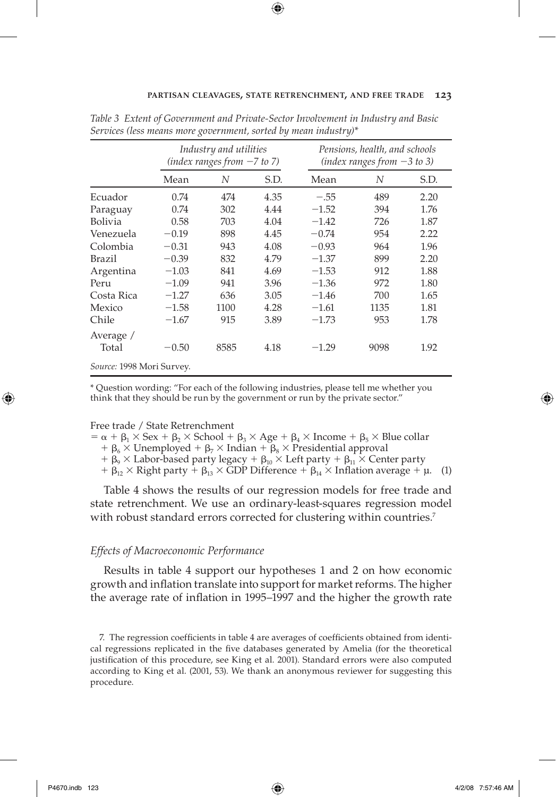|                           |         | Industry and utilities<br>$(index$ ranges from $-7$ to 7) |      |         | Pensions, health, and schools<br>$(index$ ranges from $-3$ to 3) |      |
|---------------------------|---------|-----------------------------------------------------------|------|---------|------------------------------------------------------------------|------|
|                           | Mean    | N                                                         | S.D. | Mean    | N                                                                | S.D. |
| Ecuador                   | 0.74    | 474                                                       | 4.35 | $-.55$  | 489                                                              | 2.20 |
| Paraguay                  | 0.74    | 302                                                       | 4.44 | $-1.52$ | 394                                                              | 1.76 |
| Bolivia                   | 0.58    | 703                                                       | 4.04 | $-1.42$ | 726                                                              | 1.87 |
| Venezuela                 | $-0.19$ | 898                                                       | 4.45 | $-0.74$ | 954                                                              | 2.22 |
| Colombia                  | $-0.31$ | 943                                                       | 4.08 | $-0.93$ | 964                                                              | 1.96 |
| <b>Brazil</b>             | $-0.39$ | 832                                                       | 4.79 | $-1.37$ | 899                                                              | 2.20 |
| Argentina                 | $-1.03$ | 841                                                       | 4.69 | $-1.53$ | 912                                                              | 1.88 |
| Peru                      | $-1.09$ | 941                                                       | 3.96 | $-1.36$ | 972                                                              | 1.80 |
| Costa Rica                | $-1.27$ | 636                                                       | 3.05 | $-1.46$ | 700                                                              | 1.65 |
| Mexico                    | $-1.58$ | 1100                                                      | 4.28 | $-1.61$ | 1135                                                             | 1.81 |
| Chile                     | $-1.67$ | 915                                                       | 3.89 | $-1.73$ | 953                                                              | 1.78 |
| Average /<br>Total        | $-0.50$ | 8585                                                      | 4.18 | $-1.29$ | 9098                                                             | 1.92 |
| Source: 1998 Mori Survey. |         |                                                           |      |         |                                                                  |      |

*Table 3 Extent of Government and Private-Sector Involvement in Industry and Basic Services (less means more government, sorted by mean industry)\**

\* Question wording: "For each of the following industries, please tell me whether you think that they should be run by the government or run by the private sector."

#### Free trade / State Retrenchment

- $= \alpha + \beta_1 \times \text{Sex} + \beta_2 \times \text{ School} + \beta_3 \times \text{ Age} + \beta_4 \times \text{ Income} + \beta_5 \times \text{Blue collar}$ 
	- +  $\beta_6$  × Unemployed +  $\beta_7$  × Indian +  $\beta_8$  × Presidential approval
	- +  $\beta_9$  × Labor-based party legacy +  $\beta_{10}$  × Left party +  $\beta_{11}$  × Center party
	- $+ \beta_{12} \times$  Right party  $+ \beta_{13} \times$  GDP Difference  $+ \beta_{14} \times$  Inflation average  $+ \mu$ . (1)

Table 4 shows the results of our regression models for free trade and state retrenchment. We use an ordinary-least-squares regression model with robust standard errors corrected for clustering within countries.<sup>7</sup>

#### *Effects of Macroeconomic Performance*

Results in table 4 support our hypotheses 1 and 2 on how economic growth and inflation translate into support for market reforms. The higher the average rate of inflation in 1995–1997 and the higher the growth rate

7. The regression coefficients in table 4 are averages of coefficients obtained from identical regressions replicated in the five databases generated by Amelia (for the theoretical justification of this procedure, see King et al. 2001). Standard errors were also computed according to King et al. (2001, 53). We thank an anonymous reviewer for suggesting this procedure.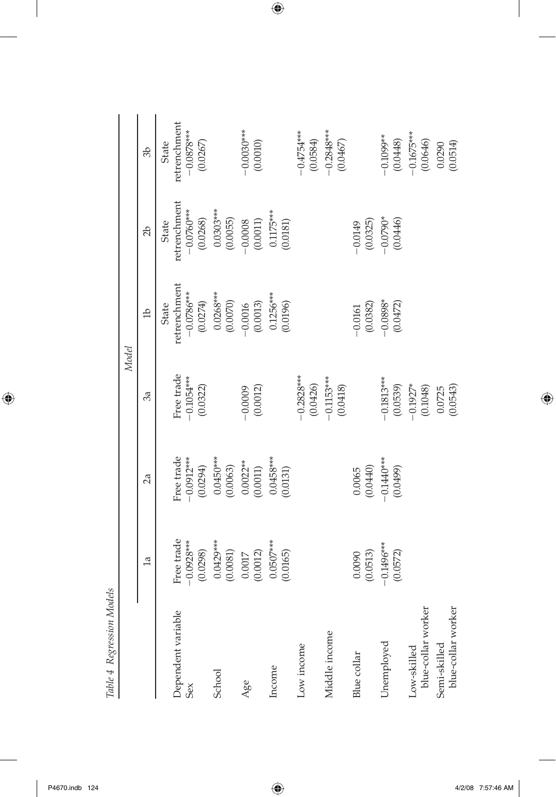|                                    |                          |                          |                                          | Model                                                                                                                                                                                                 |                                                                                                                                                                                                                                            |                                            |
|------------------------------------|--------------------------|--------------------------|------------------------------------------|-------------------------------------------------------------------------------------------------------------------------------------------------------------------------------------------------------|--------------------------------------------------------------------------------------------------------------------------------------------------------------------------------------------------------------------------------------------|--------------------------------------------|
|                                    | 1a                       | 2a                       | 3a                                       | $\frac{d}{dt}$                                                                                                                                                                                        | $\frac{1}{2}$                                                                                                                                                                                                                              | 3b                                         |
|                                    |                          |                          |                                          | State                                                                                                                                                                                                 | State                                                                                                                                                                                                                                      | State                                      |
| Dependent variable<br>Sex          | Free trade<br>-0.0928*** | Free trade<br>-0.0912*** | Free trade<br>$-0.1054***$<br>$(0.0322)$ |                                                                                                                                                                                                       |                                                                                                                                                                                                                                            | retrenchment<br>$-0.0878***$<br>$(0.0267)$ |
|                                    | (0.0298)                 | (0.0294)                 |                                          |                                                                                                                                                                                                       |                                                                                                                                                                                                                                            |                                            |
| School                             | $0.0429***$<br>(0.0081)  | $0.0450***$<br>(0.0063)  |                                          |                                                                                                                                                                                                       |                                                                                                                                                                                                                                            |                                            |
| Age                                | $0.0017$<br>$(0.0012)$   | $0.002**$<br>(0.0011)    | $-0.0009$<br>(0.0012)                    |                                                                                                                                                                                                       |                                                                                                                                                                                                                                            | $-0.0030***$<br>(0.0010)                   |
| Income                             | $0.0507***$<br>(0.0165)  | $0.0458***$<br>(0.0131)  |                                          | $\begin{array}{l} \mbox{retreachment} \\ -0.0786^{***} \\ (0.0274) \\ 0.0268^{***} \\ (0.0070) \\ (0.0070) \\ -0.0016 \\ (0.0013) \\ 0.1256^{***} \\ (0.0013) \\ (0.0196) \\ (0.0196) \\ \end{array}$ | $\begin{array}{l} {\rm retenchment} \\ -0.0760^{***} \\ (0.0268) \\ (0.0268) \\ 0.030^{***} \\ (0.0055) \\ -0.0008 \\ (0.0011) \\ 0.1175^{***} \\ 0.1175^{***} \\ (0.0181) \\ (0.0181) \\ (0.0181) \\ (0.0181) \\ (0.0181) \\ \end{array}$ |                                            |
| Low income                         |                          |                          | $-0.2828***$<br>(0.0426)                 |                                                                                                                                                                                                       |                                                                                                                                                                                                                                            | $-0.4754***$<br>(0.0584)                   |
| Middle income                      |                          |                          | $-0.1153***$<br>(0.0418)                 |                                                                                                                                                                                                       |                                                                                                                                                                                                                                            | $-0.2848***$<br>(0.0467)                   |
| Blue collar                        | (0.0090)                 | $0.0065$<br>$(0.0440)$   |                                          | (0.0382)<br>$-0.0161$                                                                                                                                                                                 |                                                                                                                                                                                                                                            |                                            |
| <b>Jnemployed</b>                  | $-0.1496***$<br>(0.0572) | $-0.1440***$<br>(0.0499) | $-0.1813***$<br>(0.0539)                 | $-0.0898*$<br>(0.0472)                                                                                                                                                                                | $-0.0149$<br>$(0.0325)$<br>$-0.0790*$<br>$(0.0446)$                                                                                                                                                                                        | $-0.1099**$<br>(0.0448)                    |
| blue-collar worker<br>ow-skilled   |                          |                          | $-0.1927$ * $(0.1048)$                   |                                                                                                                                                                                                       |                                                                                                                                                                                                                                            | $-0.1675***$<br>(0.0646)                   |
| blue-collar worker<br>Semi-skilled |                          |                          | $0.0725$<br>$(0.0543)$                   |                                                                                                                                                                                                       |                                                                                                                                                                                                                                            | (0.0290)                                   |

Table 4 Regression Models *Table 4 Regression Models*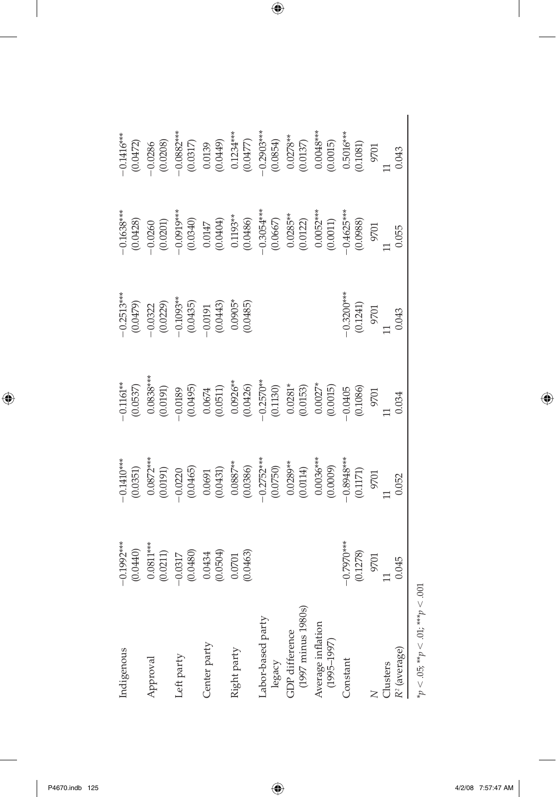| Indigenous                            |                          |                                                                                                                                                                                                                                                                                                                              |                                                                                                                                                                                                                                                                                          |                                                                                                                             | $-0.1638***$                                                                                                                                                                                                                                                                                                      |                                                                                                                                                                                                                                                                                          |
|---------------------------------------|--------------------------|------------------------------------------------------------------------------------------------------------------------------------------------------------------------------------------------------------------------------------------------------------------------------------------------------------------------------|------------------------------------------------------------------------------------------------------------------------------------------------------------------------------------------------------------------------------------------------------------------------------------------|-----------------------------------------------------------------------------------------------------------------------------|-------------------------------------------------------------------------------------------------------------------------------------------------------------------------------------------------------------------------------------------------------------------------------------------------------------------|------------------------------------------------------------------------------------------------------------------------------------------------------------------------------------------------------------------------------------------------------------------------------------------|
|                                       |                          |                                                                                                                                                                                                                                                                                                                              |                                                                                                                                                                                                                                                                                          |                                                                                                                             |                                                                                                                                                                                                                                                                                                                   |                                                                                                                                                                                                                                                                                          |
| Approval                              |                          | $\begin{array}{r} -0.4410^{***} \\ -0.0351) \\ 0.0872^{***} \\ -0.0220 \\ -0.02465 \\ 0.0465 \\ -0.02431 \\ 0.03887^{***} \\ -0.2752^{***} \\ 0.03860 \\ -0.0289^{**} \\ 0.0036^{***} \\ -0.0289^{***} \\ 0.0036^{***} \\ -0.0036^{***} \\ 0.0009 \\ -0.0036^{***} \\ 0.0009 \\ -0.00009 \\ 0.0009 \\ -0.00009 \\ 0.0009 \\$ | $\begin{array}{r} -0.1161^{*}\\ -0.01637\\ -0.0189\\ -0.0189\\ -0.0189\\ -0.00495\\ -0.00495\\ -0.00426\\ -0.2570^{*}\\ -0.0384\\ -0.00426\\ -0.0023^{*}\\ -0.00015\\ 0.00015\\ -0.00015\\ 0.00015\\ -0.0405\\ 0.00015\\ -0.0405\\ 0.00015\\ -0.0405\\ 0.00015\\ -0.0405\\ 0.00015\\ -0$ | $-0.2513**$<br>$(0.0479)$<br>$-0.0322$<br>$(0.0229)$<br>$-0.1093**$<br>$-0.1093**$<br>$(0.0443)$<br>$(0.0443)$<br>$0.0905*$ | $\begin{array}{l} (0.0428) \\ -0.0260 \\ (0.0201) \\ (0.0340) \\ (0.0340) \\ (0.0404) \\ (0.0404) \\ (0.0405) \\ (0.0406) \\ (0.0486) \\ (0.058** \\ (0.0528** \\ (0.0052** \\ (0.0011) \\ (0.0011) \\ (0.0011) \\ (0.0011) \\ (0.0038** \\ (0.0011) \\ (0.0011) \\ (0.0011) \\ (0.0011) \\ (0.0011) \\ (0.0011)$ | $-0.1416***$<br>$-0.0472$<br>$-0.0286$<br>$-0.0382***$<br>$-0.0882***$<br>$-0.0317$<br>$-0.0449$<br>$-0.0477$<br>$-0.2903***$<br>$-0.2903***$<br>$-0.2903***$<br>$-0.0477$<br>$-0.0045$<br>$-0.0048***$<br>$-0.0048***$<br>$-0.0048***$<br>$-0.0048***$<br>$-0.0048***$<br>$-0.0049$<br> |
|                                       |                          |                                                                                                                                                                                                                                                                                                                              |                                                                                                                                                                                                                                                                                          |                                                                                                                             |                                                                                                                                                                                                                                                                                                                   |                                                                                                                                                                                                                                                                                          |
| Left party                            |                          |                                                                                                                                                                                                                                                                                                                              |                                                                                                                                                                                                                                                                                          |                                                                                                                             |                                                                                                                                                                                                                                                                                                                   |                                                                                                                                                                                                                                                                                          |
|                                       |                          |                                                                                                                                                                                                                                                                                                                              |                                                                                                                                                                                                                                                                                          |                                                                                                                             |                                                                                                                                                                                                                                                                                                                   |                                                                                                                                                                                                                                                                                          |
| Center party                          |                          |                                                                                                                                                                                                                                                                                                                              |                                                                                                                                                                                                                                                                                          |                                                                                                                             |                                                                                                                                                                                                                                                                                                                   |                                                                                                                                                                                                                                                                                          |
|                                       |                          |                                                                                                                                                                                                                                                                                                                              |                                                                                                                                                                                                                                                                                          |                                                                                                                             |                                                                                                                                                                                                                                                                                                                   |                                                                                                                                                                                                                                                                                          |
| Right party                           |                          |                                                                                                                                                                                                                                                                                                                              |                                                                                                                                                                                                                                                                                          |                                                                                                                             |                                                                                                                                                                                                                                                                                                                   |                                                                                                                                                                                                                                                                                          |
|                                       |                          |                                                                                                                                                                                                                                                                                                                              |                                                                                                                                                                                                                                                                                          |                                                                                                                             |                                                                                                                                                                                                                                                                                                                   |                                                                                                                                                                                                                                                                                          |
| Labor-based party                     |                          |                                                                                                                                                                                                                                                                                                                              |                                                                                                                                                                                                                                                                                          |                                                                                                                             |                                                                                                                                                                                                                                                                                                                   |                                                                                                                                                                                                                                                                                          |
| legacy                                |                          |                                                                                                                                                                                                                                                                                                                              |                                                                                                                                                                                                                                                                                          |                                                                                                                             |                                                                                                                                                                                                                                                                                                                   |                                                                                                                                                                                                                                                                                          |
| GDP difference                        |                          |                                                                                                                                                                                                                                                                                                                              |                                                                                                                                                                                                                                                                                          |                                                                                                                             |                                                                                                                                                                                                                                                                                                                   |                                                                                                                                                                                                                                                                                          |
| $(1997 \text{ minus } 1980 \text{s})$ |                          |                                                                                                                                                                                                                                                                                                                              |                                                                                                                                                                                                                                                                                          |                                                                                                                             |                                                                                                                                                                                                                                                                                                                   |                                                                                                                                                                                                                                                                                          |
| Average inflation<br>(1995–1997)      |                          |                                                                                                                                                                                                                                                                                                                              |                                                                                                                                                                                                                                                                                          |                                                                                                                             |                                                                                                                                                                                                                                                                                                                   |                                                                                                                                                                                                                                                                                          |
|                                       |                          |                                                                                                                                                                                                                                                                                                                              |                                                                                                                                                                                                                                                                                          |                                                                                                                             |                                                                                                                                                                                                                                                                                                                   |                                                                                                                                                                                                                                                                                          |
| Constant                              |                          |                                                                                                                                                                                                                                                                                                                              |                                                                                                                                                                                                                                                                                          |                                                                                                                             |                                                                                                                                                                                                                                                                                                                   |                                                                                                                                                                                                                                                                                          |
|                                       | $-0.7970***$<br>(0.1278) |                                                                                                                                                                                                                                                                                                                              |                                                                                                                                                                                                                                                                                          | $-0.3200***$<br>$(0.1241)$<br>$9701$<br>$11$<br>$10043$                                                                     |                                                                                                                                                                                                                                                                                                                   |                                                                                                                                                                                                                                                                                          |
|                                       | $9701$ $11$              |                                                                                                                                                                                                                                                                                                                              |                                                                                                                                                                                                                                                                                          |                                                                                                                             |                                                                                                                                                                                                                                                                                                                   |                                                                                                                                                                                                                                                                                          |
| Clusters                              |                          | $\frac{1}{0.052}$                                                                                                                                                                                                                                                                                                            |                                                                                                                                                                                                                                                                                          |                                                                                                                             |                                                                                                                                                                                                                                                                                                                   |                                                                                                                                                                                                                                                                                          |
| R <sup>2</sup> (average)              | 0.045                    |                                                                                                                                                                                                                                                                                                                              | 0.034                                                                                                                                                                                                                                                                                    |                                                                                                                             |                                                                                                                                                                                                                                                                                                                   |                                                                                                                                                                                                                                                                                          |
|                                       |                          |                                                                                                                                                                                                                                                                                                                              |                                                                                                                                                                                                                                                                                          |                                                                                                                             |                                                                                                                                                                                                                                                                                                                   |                                                                                                                                                                                                                                                                                          |

 $\mu_{\rm p} < 0.05;$   $\mu_{\rm p} < 0.01;$   $\mu_{\rm s} < 0.01$ \**p* < .05; \*\**p* < .01; \*\*\**p* < .001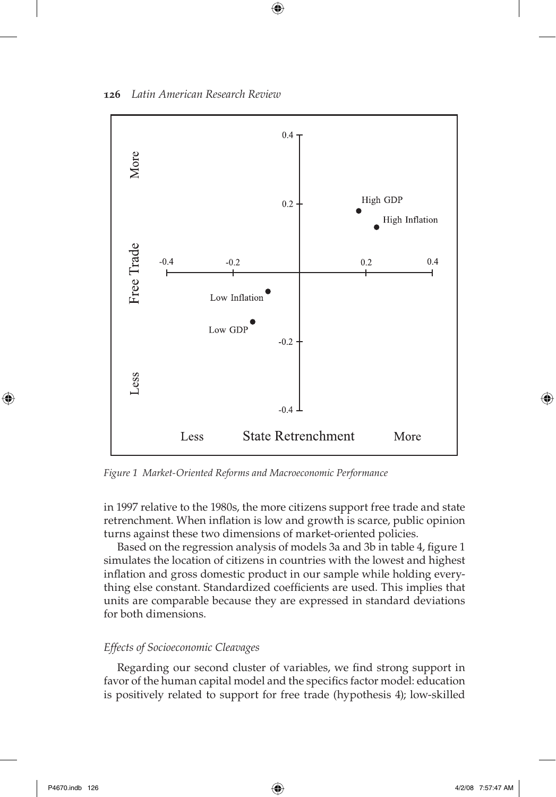

*Figure 1 Market-Oriented Reforms and Macroeconomic Performance*

in 1997 relative to the 1980s, the more citizens support free trade and state retrenchment. When inflation is low and growth is scarce, public opinion turns against these two dimensions of market-oriented policies.

Based on the regression analysis of models 3a and 3b in table 4, figure 1 simulates the location of citizens in countries with the lowest and highest inflation and gross domestic product in our sample while holding everything else constant. Standardized coefficients are used. This implies that units are comparable because they are expressed in standard deviations for both dimensions.

#### *Effects of Socioeconomic Cleavages*

Regarding our second cluster of variables, we find strong support in favor of the human capital model and the specifics factor model: education is positively related to support for free trade (hypothesis 4); low-skilled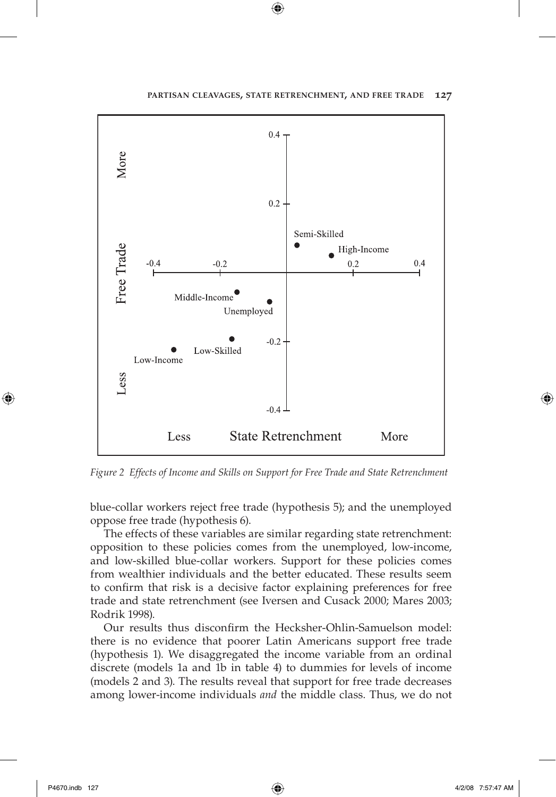

*Figure 2 Effects of Income and Skills on Support for Free Trade and State Retrenchment*

blue-collar workers reject free trade (hypothesis 5); and the unemployed oppose free trade (hypothesis 6).

The effects of these variables are similar regarding state retrenchment: opposition to these policies comes from the unemployed, low-income, and low-skilled blue-collar workers. Support for these policies comes from wealthier individuals and the better educated. These results seem to confirm that risk is a decisive factor explaining preferences for free trade and state retrenchment (see Iversen and Cusack 2000; Mares 2003; Rodrik 1998).

Our results thus disconfirm the Hecksher-Ohlin-Samuelson model: there is no evidence that poorer Latin Americans support free trade (hypothesis 1). We disaggregated the income variable from an ordinal discrete (models 1a and 1b in table 4) to dummies for levels of income (models 2 and 3). The results reveal that support for free trade decreases among lower-income individuals *and* the middle class. Thus, we do not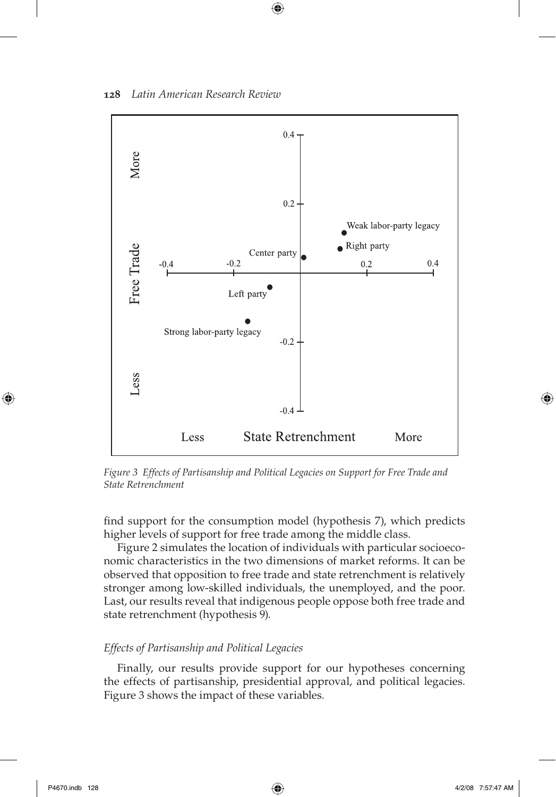

*Figure 3 Effects of Partisanship and Political Legacies on Support for Free Trade and State Retrenchment*

find support for the consumption model (hypothesis 7), which predicts higher levels of support for free trade among the middle class.

Figure 2 simulates the location of individuals with particular socioeconomic characteristics in the two dimensions of market reforms. It can be observed that opposition to free trade and state retrenchment is relatively stronger among low-skilled individuals, the unemployed, and the poor. Last, our results reveal that indigenous people oppose both free trade and state retrenchment (hypothesis 9).

#### *Effects of Partisanship and Political Legacies*

Finally, our results provide support for our hypotheses concerning the effects of partisanship, presidential approval, and political legacies. Figure 3 shows the impact of these variables.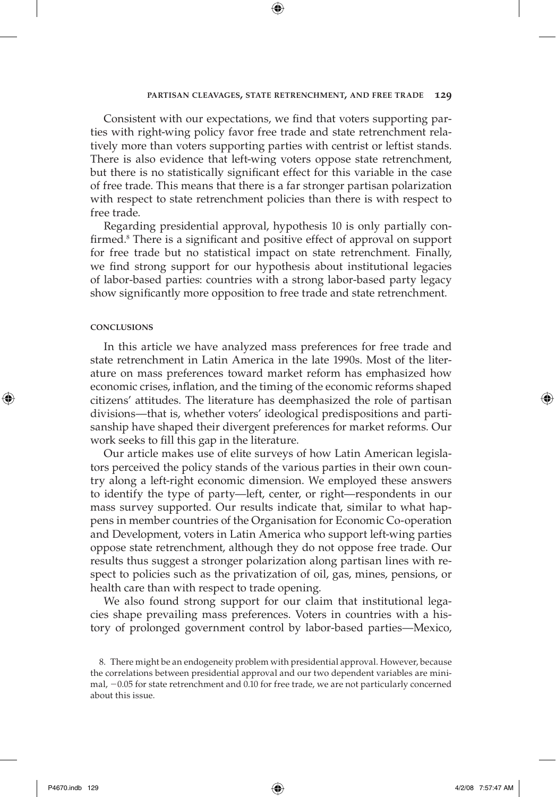Consistent with our expectations, we find that voters supporting parties with right-wing policy favor free trade and state retrenchment relatively more than voters supporting parties with centrist or leftist stands. There is also evidence that left-wing voters oppose state retrenchment, but there is no statistically significant effect for this variable in the case of free trade. This means that there is a far stronger partisan polarization with respect to state retrenchment policies than there is with respect to free trade.

Regarding presidential approval, hypothesis 10 is only partially confirmed.<sup>8</sup> There is a significant and positive effect of approval on support for free trade but no statistical impact on state retrenchment. Finally, we find strong support for our hypothesis about institutional legacies of labor-based parties: countries with a strong labor-based party legacy show significantly more opposition to free trade and state retrenchment.

#### **CONCLUSIONS**

In this article we have analyzed mass preferences for free trade and state retrenchment in Latin America in the late 1990s. Most of the literature on mass preferences toward market reform has emphasized how economic crises, inflation, and the timing of the economic reforms shaped citizens' attitudes. The literature has deemphasized the role of partisan divisions—that is, whether voters' ideological predispositions and partisanship have shaped their divergent preferences for market reforms. Our work seeks to fill this gap in the literature.

Our article makes use of elite surveys of how Latin American legislators perceived the policy stands of the various parties in their own country along a left-right economic dimension. We employed these answers to identify the type of party—left, center, or right—respondents in our mass survey supported. Our results indicate that, similar to what happens in member countries of the Organisation for Economic Co-operation and Development, voters in Latin America who support left-wing parties oppose state retrenchment, although they do not oppose free trade. Our results thus suggest a stronger polarization along partisan lines with respect to policies such as the privatization of oil, gas, mines, pensions, or health care than with respect to trade opening.

We also found strong support for our claim that institutional legacies shape prevailing mass preferences. Voters in countries with a history of prolonged government control by labor-based parties—Mexico,

<sup>8.</sup> There might be an endogeneity problem with presidential approval. However, because the correlations between presidential approval and our two dependent variables are minimal, −0.05 for state retrenchment and 0.10 for free trade, we are not particularly concerned about this issue.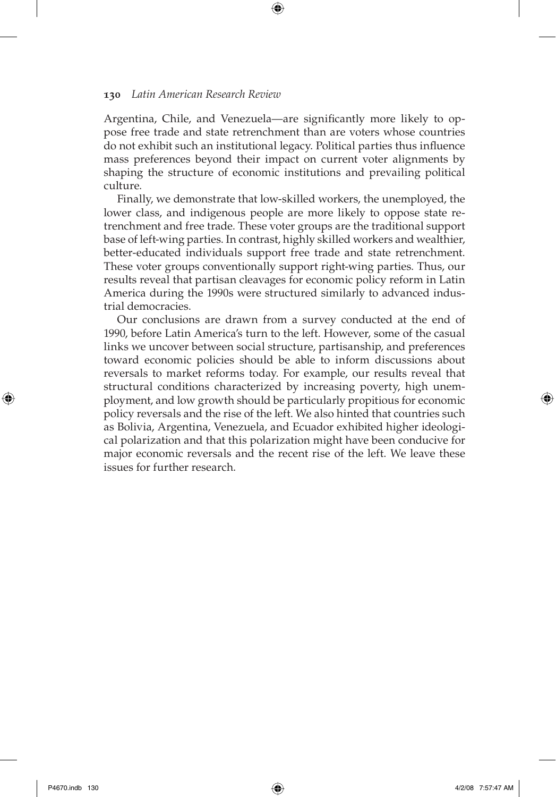Argentina, Chile, and Venezuela—are significantly more likely to oppose free trade and state retrenchment than are voters whose countries  $\overline{d}$  do not exhibit such an institutional legacy. Political parties thus influence mass preferences beyond their impact on current voter alignments by shaping the structure of economic institutions and prevailing political culture.

Finally, we demonstrate that low-skilled workers, the unemployed, the lower class, and indigenous people are more likely to oppose state retrenchment and free trade. These voter groups are the traditional support base of left-wing parties. In contrast, highly skilled workers and wealthier, better-educated individuals support free trade and state retrenchment. These voter groups conventionally support right-wing parties. Thus, our results reveal that partisan cleavages for economic policy reform in Latin America during the 1990s were structured similarly to advanced industrial democracies.

Our conclusions are drawn from a survey conducted at the end of 1990, before Latin America's turn to the left. However, some of the casual links we uncover between social structure, partisanship, and preferences toward economic policies should be able to inform discussions about reversals to market reforms today. For example, our results reveal that structural conditions characterized by increasing poverty, high unemployment, and low growth should be particularly propitious for economic policy reversals and the rise of the left. We also hinted that countries such as Bolivia, Argentina, Venezuela, and Ecuador exhibited higher ideological polarization and that this polarization might have been conducive for major economic reversals and the recent rise of the left. We leave these issues for further research.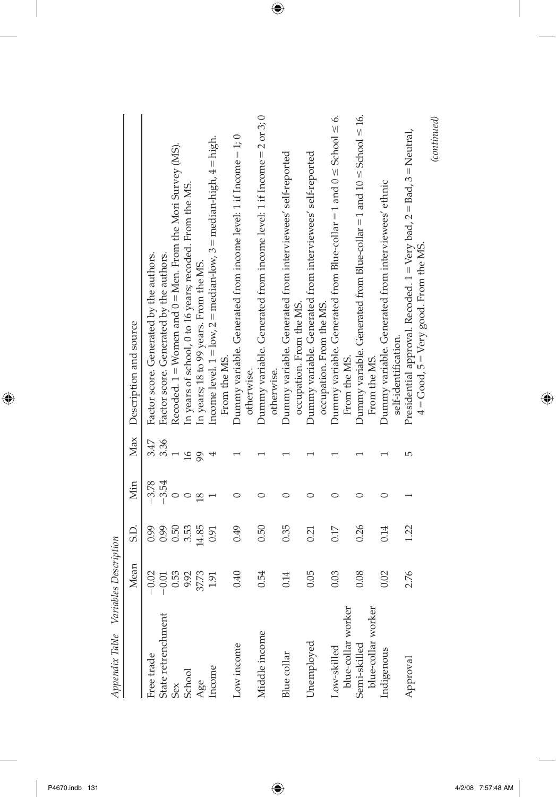| Appendix Table                  | Variables Description |       |               |               |                                                                              |
|---------------------------------|-----------------------|-------|---------------|---------------|------------------------------------------------------------------------------|
|                                 | Mean                  | S.D.  | Min           | Max           | Description and source                                                       |
| Free trade                      | $-0.02$               | 0.99  | $-3.78$       | 3.47          | Factor score. Generated by the authors.                                      |
| State retrenchment              | $-0.01$               | 0.99  | $-3.54$       | 3.36          | Factor score. Generated by the authors.                                      |
| Sex                             | 0.53                  | 0.50  | $\circ$       |               | Recoded. $1 =$ Women and $0 =$ Men. From the Mori Survey (MS).               |
| School                          | 9.92                  | 3.53  | $\circ$       | $\frac{1}{6}$ | In years of school, 0 to 16 years; recoded. From the MS.                     |
| Age                             | 37.73                 | 14.85 | $\frac{8}{2}$ | 99            | In years; 18 to 99 years. From the MS.                                       |
| Income                          | 1.91                  | 0.91  |               |               | Income level. $1 =$ low, $2 =$ median-low, $3 =$ median-high, $4 =$ high.    |
|                                 |                       |       |               |               | From the MS.                                                                 |
| Low income                      | 0.40                  | 0.49  | ○             |               | Dummy variable. Generated from income level: 1 if Income = 1; 0              |
|                                 |                       |       |               |               | otherwise.                                                                   |
| Middle income                   | 0.54                  | 0.50  | ⊂             |               | Dummy variable. Generated from income level: 1 if Income = 2 or 3; 0         |
|                                 |                       |       |               |               | otherwise.                                                                   |
| <b>Blue</b> collar              | 0.14                  | 0.35  | ⊂             |               | Dummy variable. Generated from interviewees' self-reported                   |
|                                 |                       |       |               |               | occupation. From the MS.                                                     |
| <b><i><u>Jnemployed</u></i></b> | 0.05                  | 0.21  |               |               | Dummy variable. Generated from interviewees' self-reported                   |
|                                 |                       |       |               |               | occupation. From the MS.                                                     |
| .ow-skilled                     | 0.03                  | 0.17  | ⊂             |               | Dummy variable. Generated from Blue-collar = 1 and $0 \le$ School $\le$ 6.   |
| blue-collar worker              |                       |       |               |               | From the MS.                                                                 |
| Semi-skilled                    | 0.08                  | 0.26  | ⊂             |               | Dummy variable. Generated from Blue-collar = 1 and $10 \le$ School $\le$ 16. |
| blue-collar worker              |                       |       |               |               | From the MS.                                                                 |
| Indigenous                      | 0.02                  | 0.14  | 0             |               | Dummy variable. Generated from interviewees' ethnic                          |
|                                 |                       |       |               |               | self-identification.                                                         |
| Approval                        | 2.76                  | 1.22  |               | LO.           | Presidential approval. Recoded. $1 =$ Very bad, $2 =$ Bad, $3 =$ Neutral,    |
|                                 |                       |       |               |               | $4 = Good$ , $5 = Very good$ . From the MS                                   |
|                                 |                       |       |               |               | (continued)                                                                  |
|                                 |                       |       |               |               |                                                                              |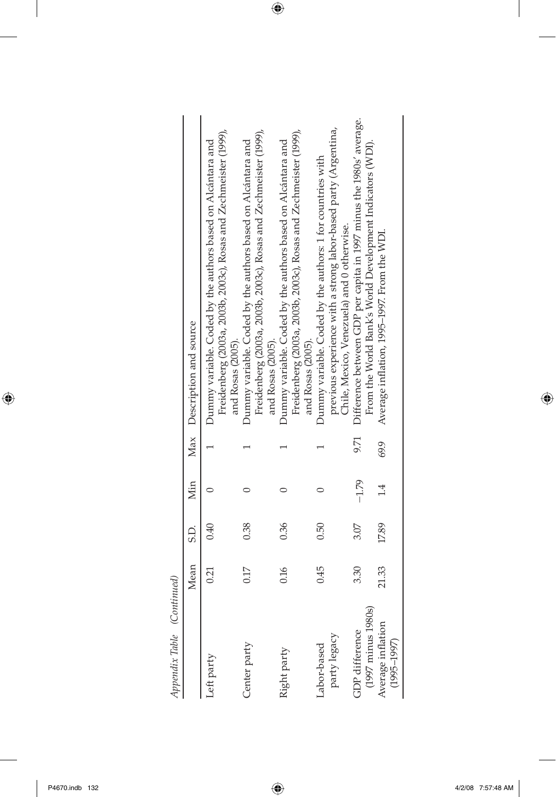| Appendix Table (Continued)                      |       |       |         |      |                                                                                                                                                                             |
|-------------------------------------------------|-------|-------|---------|------|-----------------------------------------------------------------------------------------------------------------------------------------------------------------------------|
|                                                 | Mean  | S.D.  | Min     |      | Max Description and source                                                                                                                                                  |
| Left party                                      | 0.21  | 0.40  |         |      | Freidenberg (2003a, 2003b, 2003c), Rosas and Zechmeister (1999),<br>Dummy variable. Coded by the authors based on Alcántara and<br>and Rosas (2005).                        |
| Center party                                    | 0.17  | 0.38  |         |      | Freidenberg (2003a, 2003b, 2003c), Rosas and Zechmeister (1999),<br>Dummy variable. Coded by the authors based on Alcántara and<br>and Rosas (2005).                        |
| Right party                                     | 0.16  | 0.36  |         |      | Freidenberg (2003a, 2003b, 2003c), Rosas and Zechmeister (1999),<br>Dummy variable. Coded by the authors based on Alcántara and<br>and Rosas (2005).                        |
| party legacy<br>Labor-based                     | 0.45  | 0.50  |         |      | previous experience with a strong labor-based party (Argentina,<br>Dummy variable. Coded by the authors: 1 for countries with<br>Chile, Mexico, Venezuela) and 0 otherwise. |
| $(1997 \text{ minus } 1980s)$<br>GDP difference | 3.30  | 3.07  | $-1.79$ | 9.71 | Difference between GDP per capita in 1997 minus the 1980s' average.<br>From the World Bank's World Development Indicators (WDI).                                            |
| Average inflation<br>$(1995 - 1997)$            | 21.33 | 17.89 | 1.4     | 69.9 | Average inflation, 1995-1997. From the WDI.                                                                                                                                 |

 $\tilde{r}$ *Appendix Table (Continued)* Ë  $\zeta$ Ė  $\ddot{x}$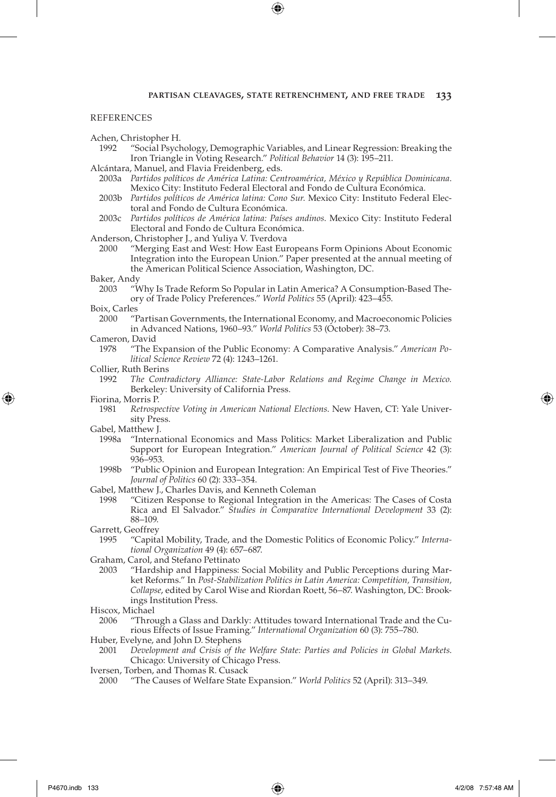#### **REFERENCES**

| Achen, Christopher H. |  |
|-----------------------|--|
|                       |  |

1992 "Social Psychology, Demographic Variables, and Linear Regression: Breaking the Iron Triangle in Voting Research." *Political Behavior* 14 (3): 195–211.

- Alcántara, Manuel, and Flavia Freidenberg, eds.
	- 2003a *Partidos políticos de América Latina: Centroamérica, México y República Dominicana*. Mexico City: Instituto Federal Electoral and Fondo de Cultura Económica.
	- 2003b *Partidos políticos de América latina: Cono Sur*. Mexico City: Instituto Federal Electoral and Fondo de Cultura Económica.
	- 2003c *Partidos políticos de América latina: Países andinos*. Mexico City: Instituto Federal Electoral and Fondo de Cultura Económica.
- Anderson, Christopher J., and Yuliya V. Tverdova<br>2000 **TMerging East and West: How East Eu** 
	- "Merging East and West: How East Europeans Form Opinions About Economic Integration into the European Union." Paper presented at the annual meeting of the American Political Science Association, Washington, DC.

### Baker, Andy<br>2003 "W

"Why Is Trade Reform So Popular in Latin America? A Consumption-Based Theory of Trade Policy Preferences." *World Politics* 55 (April): 423–455.

### Boix, Carles<br>2000 "F

"Partisan Governments, the International Economy, and Macroeconomic Policies in Advanced Nations, 1960–93." *World Politics* 53 (October): 38–73.

### Cameron, David

"The Expansion of the Public Economy: A Comparative Analysis." *American Political Science Review* 72 (4): 1243–1261.

### Collier, Ruth Berins

1992 *The Contradictory Alliance: State-Labor Relations and Regime Change in Mexico.*  Berkeley: University of California Press.

### Fiorina, Morris P.<br>1981 Retrospi

1981 *Retrospective Voting in American National Elections*. New Haven, CT: Yale University Press.

### Gabel, Matthew J.<br>1998a "Interna

- 1998a "International Economics and Mass Politics: Market Liberalization and Public Support for European Integration." *American Journal of Political Science* 42 (3):  $936 - 953$ .
- 1998b "Public Opinion and European Integration: An Empirical Test of Five Theories." *Journal of Politics* 60 (2): 333–354.
- Gabel, Matthew J., Charles Davis, and Kenneth Coleman<br>1998 Titizen Response to Regional Integration in t
- "Citizen Response to Regional Integration in the Americas: The Cases of Costa Rica and El Salvador." *Studies in Comparative International Development* 33 (2): 88–109.

### Garrett, Geoffrey<br>
1995 "Capita

"Capital Mobility, Trade, and the Domestic Politics of Economic Policy." Interna*tional Organization* 49 (4): 657–687.

### Graham, Carol, and Stefano Pettinato

"Hardship and Happiness: Social Mobility and Public Perceptions during Market Reforms." In *Post-Stabilization Politics in Latin America: Competition, Transition, Collapse*, edited by Carol Wise and Riordan Roett, 56–87. Washington, DC: Brookings Institution Press.

#### Hiscox, Michael

- 2006 "Through a Glass and Darkly: Attitudes toward International Trade and the Curious Effects of Issue Framing." *International Organization* 60 (3): 755–780.
- Huber, Evelyne, and John D. Stephens<br>2001 Development and Crisis of the
- 2001 *Development and Crisis of the Welfare State: Parties and Policies in Global Markets*. Chicago: University of Chicago Press.
- Iversen, Torben, and Thomas R. Cusack<br>2000 The Causes of Welfare State
	- 2000 "The Causes of Welfare State Expansion." *World Politics* 52 (April): 313–349.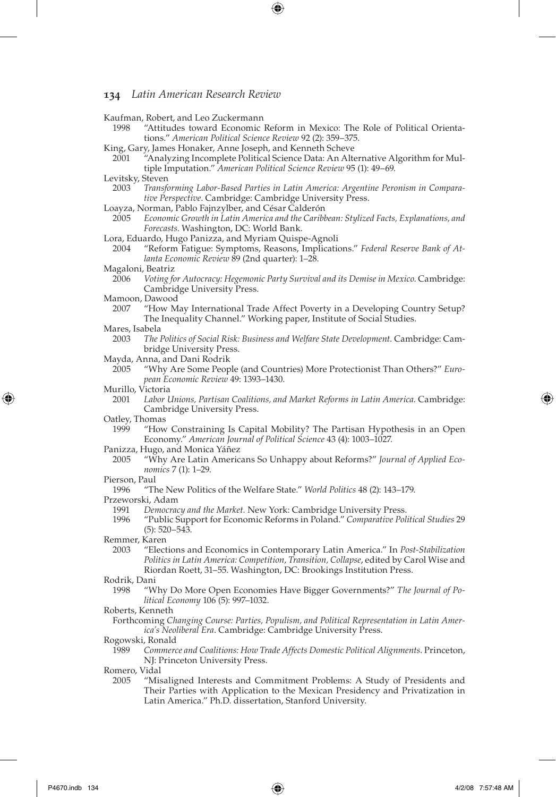#### **134** *Latin American Research Review*

Kaufman, Robert, and Leo Zuckermann "Attitudes toward Economic Reform in Mexico: The Role of Political Orientations." *American Political Science Review* 92 (2): 359–375.

- King, Gary, James Honaker, Anne Joseph, and Kenneth Scheve<br>2001 "Analyzing Incomplete Political Science Data: An Alte "Analyzing Incomplete Political Science Data: An Alternative Algorithm for Mul
	- tiple Imputation." *American Political Science Review* 95 (1): 49–69.

### Levitsky, Steven<br>2003 Transfo

- 2003 *Transforming Labor-Based Parties in Latin America: Argentine Peronism in Comparative Perspective*. Cambridge: Cambridge University Press.
- Loayza, Norman, Pablo Fajnzylber, and César Calderón
	- 2005 *Economic Growth in Latin America and the Caribbean: Stylized Facts, Explanations, and Forecasts*. Washington, DC: World Bank.
- Lora, Eduardo, Hugo Panizza, and Myriam Quispe-Agnoli
	- "Reform Fatigue: Symptoms, Reasons, Implications." *Federal Reserve Bank of Atlanta Economic Review* 89 (2nd quarter): 1–28.

#### Magaloni, Beatriz

2006 *Voting for Autocracy: Hegemonic Party Survival and its Demise in Mexico*. Cambridge: Cambridge University Press.

### Mamoon, Dawood<br>2007 "How M

"How May International Trade Affect Poverty in a Developing Country Setup? The Inequality Channel." Working paper, Institute of Social Studies.

### Mares, Isabela<br>2003 The J

- 2003 *The Politics of Social Risk: Business and Welfare State Development*. Cambridge: Cambridge University Press.
- Mayda, Anna, and Dani Rodrik
	- "Why Are Some People (and Countries) More Protectionist Than Others?" *European Economic Review* 49: 1393–1430.
- Murillo, Victoria<br>2001 *Labor L* 
	- 2001 *Labor Unions, Partisan Coalitions, and Market Reforms in Latin America*. Cambridge: Cambridge University Press.
- Oatley, Thomas
	- 1999 "How Constraining Is Capital Mobility? The Partisan Hypothesis in an Open Economy." *American Journal of Political Science* 43 (4): 1003–1027.
- Panizza, Hugo, and Monica Yáñez
	- "Why Are Latin Americans So Unhappy about Reforms?" *Journal of Applied Economics* 7 (1): 1–29.

### Pierson, Paul<br>1996 "Th

1996 "The New Politics of the Welfare State." *World Politics* 48 (2): 143–179.

### Przeworski, Adam<br>1991 Democrac

- 1991 *Democracy and the Market.* New York: Cambridge University Press.
- 1996 "Public Support for Economic Reforms in Poland." *Comparative Political Studies* 29 (5): 520–543.

### Remmer, Karen<br>2003 "Elect

2003 "Elections and Economics in Contemporary Latin America." In *Post-Stabilization Politics in Latin America: Competition, Transition, Collapse*, edited by Carol Wise and Riordan Roett, 31–55. Washington, DC: Brookings Institution Press.

### Rodrik, Dani

"Why Do More Open Economies Have Bigger Governments?" The Journal of Po*litical Economy* 106 (5): 997–1032.

#### Roberts, Kenneth

Forthcoming *Changing Course: Parties, Populism, and Political Representation in Latin America's Neoliberal Era*. Cambridge: Cambridge University Press.

### Rogowski, Ronald<br>1989 Commerc

1989 *Commerce and Coalitions: How Trade Affects Domestic Political Alignments*. Princeton, NJ: Princeton University Press.

### Romero, Vidal<br>2005 "Mis

"Misaligned Interests and Commitment Problems: A Study of Presidents and Their Parties with Application to the Mexican Presidency and Privatization in Latin America." Ph.D. dissertation, Stanford University.